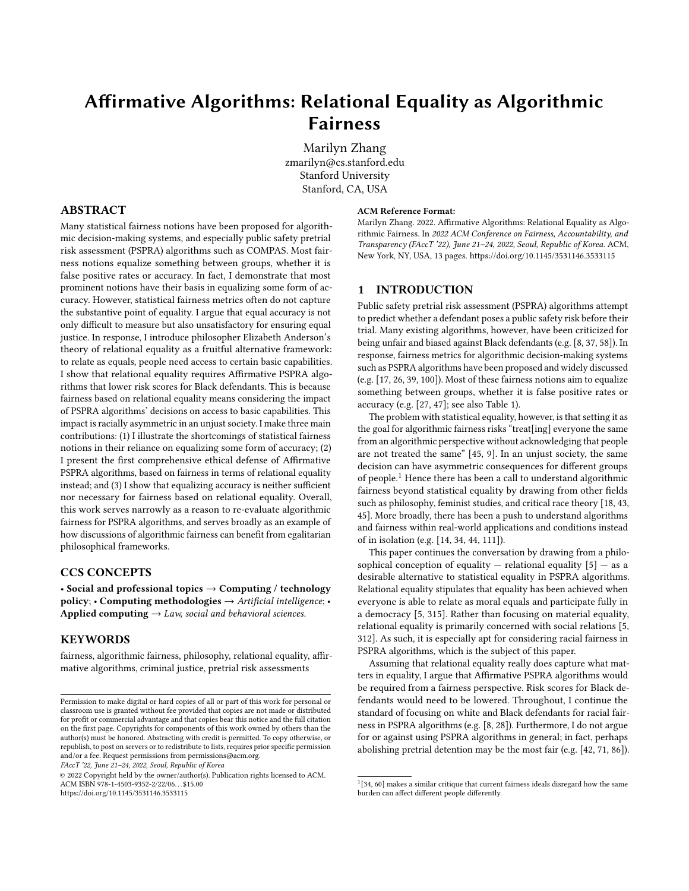# Affirmative Algorithms: Relational Equality as Algorithmic Fairness

Marilyn Zhang zmarilyn@cs.stanford.edu Stanford University Stanford, CA, USA

# ABSTRACT

Many statistical fairness notions have been proposed for algorithmic decision-making systems, and especially public safety pretrial risk assessment (PSPRA) algorithms such as COMPAS. Most fairness notions equalize something between groups, whether it is false positive rates or accuracy. In fact, I demonstrate that most prominent notions have their basis in equalizing some form of accuracy. However, statistical fairness metrics often do not capture the substantive point of equality. I argue that equal accuracy is not only difficult to measure but also unsatisfactory for ensuring equal justice. In response, I introduce philosopher Elizabeth Anderson's theory of relational equality as a fruitful alternative framework: to relate as equals, people need access to certain basic capabilities. I show that relational equality requires Affirmative PSPRA algorithms that lower risk scores for Black defendants. This is because fairness based on relational equality means considering the impact of PSPRA algorithms' decisions on access to basic capabilities. This impact is racially asymmetric in an unjust society. I make three main contributions: (1) I illustrate the shortcomings of statistical fairness notions in their reliance on equalizing some form of accuracy; (2) I present the first comprehensive ethical defense of Affirmative PSPRA algorithms, based on fairness in terms of relational equality instead; and (3) I show that equalizing accuracy is neither sufficient nor necessary for fairness based on relational equality. Overall, this work serves narrowly as a reason to re-evaluate algorithmic fairness for PSPRA algorithms, and serves broadly as an example of how discussions of algorithmic fairness can benefit from egalitarian philosophical frameworks.

## CCS CONCEPTS

• Social and professional topics  $\rightarrow$  Computing / technology policy; • Computing methodologies  $\rightarrow$  Artificial intelligence; • Applied computing  $\rightarrow$  Law, social and behavioral sciences.

#### KEYWORDS

fairness, algorithmic fairness, philosophy, relational equality, affirmative algorithms, criminal justice, pretrial risk assessments

FAccT '22, June 21–24, 2022, Seoul, Republic of Korea

© 2022 Copyright held by the owner/author(s). Publication rights licensed to ACM. ACM ISBN 978-1-4503-9352-2/22/06. . . \$15.00 <https://doi.org/10.1145/3531146.3533115>

#### ACM Reference Format:

Marilyn Zhang. 2022. Affirmative Algorithms: Relational Equality as Algorithmic Fairness. In 2022 ACM Conference on Fairness, Accountability, and Transparency (FAccT '22), June 21-24, 2022, Seoul, Republic of Korea. ACM, New York, NY, USA, [13](#page-12-0) pages.<https://doi.org/10.1145/3531146.3533115>

## 1 INTRODUCTION

Public safety pretrial risk assessment (PSPRA) algorithms attempt to predict whether a defendant poses a public safety risk before their trial. Many existing algorithms, however, have been criticized for being unfair and biased against Black defendants (e.g. [\[8,](#page-9-0) [37,](#page-10-0) [58\]](#page-11-0)). In response, fairness metrics for algorithmic decision-making systems such as PSPRA algorithms have been proposed and widely discussed (e.g. [\[17,](#page-10-1) [26,](#page-10-2) [39,](#page-10-3) [100\]](#page-11-1)). Most of these fairness notions aim to equalize something between groups, whether it is false positive rates or accuracy (e.g. [\[27,](#page-10-4) [47\]](#page-10-5); see also Table [1\)](#page-2-0).

The problem with statistical equality, however, is that setting it as the goal for algorithmic fairness risks "treat[ing] everyone the same from an algorithmic perspective without acknowledging that people are not treated the same" [\[45,](#page-10-6) 9]. In an unjust society, the same decision can have asymmetric consequences for different groups of people.[1](#page-0-0) Hence there has been a call to understand algorithmic fairness beyond statistical equality by drawing from other fields such as philosophy, feminist studies, and critical race theory [\[18,](#page-10-7) [43,](#page-10-8) [45\]](#page-10-6). More broadly, there has been a push to understand algorithms and fairness within real-world applications and conditions instead of in isolation (e.g. [\[14,](#page-10-9) [34,](#page-10-10) [44,](#page-10-11) [111\]](#page-12-1)).

This paper continues the conversation by drawing from a philosophical conception of equality — relational equality  $[5]$  — as a desirable alternative to statistical equality in PSPRA algorithms. Relational equality stipulates that equality has been achieved when everyone is able to relate as moral equals and participate fully in a democracy [\[5,](#page-9-1) 315]. Rather than focusing on material equality, relational equality is primarily concerned with social relations [\[5,](#page-9-1) 312]. As such, it is especially apt for considering racial fairness in PSPRA algorithms, which is the subject of this paper.

Assuming that relational equality really does capture what matters in equality, I argue that Affirmative PSPRA algorithms would be required from a fairness perspective. Risk scores for Black defendants would need to be lowered. Throughout, I continue the standard of focusing on white and Black defendants for racial fairness in PSPRA algorithms (e.g. [\[8,](#page-9-0) [28\]](#page-10-12)). Furthermore, I do not argue for or against using PSPRA algorithms in general; in fact, perhaps abolishing pretrial detention may be the most fair (e.g. [\[42,](#page-10-13) [71,](#page-11-2) [86\]](#page-11-3)).

Permission to make digital or hard copies of all or part of this work for personal or classroom use is granted without fee provided that copies are not made or distributed for profit or commercial advantage and that copies bear this notice and the full citation on the first page. Copyrights for components of this work owned by others than the author(s) must be honored. Abstracting with credit is permitted. To copy otherwise, or republish, to post on servers or to redistribute to lists, requires prior specific permission and/or a fee. Request permissions from permissions@acm.org.

<span id="page-0-0"></span> $1$ [\[34,](#page-10-10) 60] makes a similar critique that current fairness ideals disregard how the same burden can affect different people differently.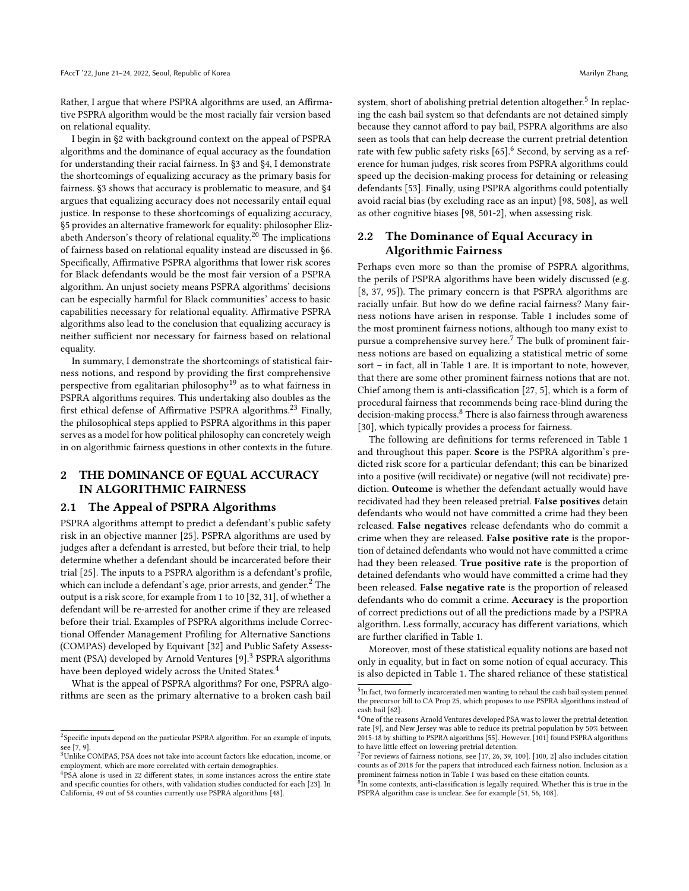Rather, I argue that where PSPRA algorithms are used, an Affirmative PSPRA algorithm would be the most racially fair version based on relational equality.

I begin in [§2](#page-1-0) with background context on the appeal of PSPRA algorithms and the dominance of equal accuracy as the foundation for understanding their racial fairness. In [§3](#page-2-1) and [§4,](#page-3-0) I demonstrate the shortcomings of equalizing accuracy as the primary basis for fairness. [§3](#page-2-1) shows that accuracy is problematic to measure, and [§4](#page-3-0) argues that equalizing accuracy does not necessarily entail equal justice. In response to these shortcomings of equalizing accuracy, [§5](#page-5-0) provides an alternative framework for equality: philosopher Elizabeth Anderson's theory of relational equality.[20](#page-6-0) The implications of fairness based on relational equality instead are discussed in [§6.](#page-6-1) Specifically, Affirmative PSPRA algorithms that lower risk scores for Black defendants would be the most fair version of a PSPRA algorithm. An unjust society means PSPRA algorithms' decisions can be especially harmful for Black communities' access to basic capabilities necessary for relational equality. Affirmative PSPRA algorithms also lead to the conclusion that equalizing accuracy is neither sufficient nor necessary for fairness based on relational equality.

In summary, I demonstrate the shortcomings of statistical fairness notions, and respond by providing the first comprehensive perspective from egalitarian philosophy[19](#page-5-1) as to what fairness in PSPRA algorithms requires. This undertaking also doubles as the first ethical defense of Affirmative PSPRA algorithms.[23](#page-7-0) Finally, the philosophical steps applied to PSPRA algorithms in this paper serves as a model for how political philosophy can concretely weigh in on algorithmic fairness questions in other contexts in the future.

# <span id="page-1-0"></span>2 THE DOMINANCE OF EQUAL ACCURACY IN ALGORITHMIC FAIRNESS

#### 2.1 The Appeal of PSPRA Algorithms

PSPRA algorithms attempt to predict a defendant's public safety risk in an objective manner [\[25\]](#page-10-14). PSPRA algorithms are used by judges after a defendant is arrested, but before their trial, to help determine whether a defendant should be incarcerated before their trial [\[25\]](#page-10-14). The inputs to a PSPRA algorithm is a defendant's profile, which can include a defendant's age, prior arrests, and gender. $<sup>2</sup>$  $<sup>2</sup>$  $<sup>2</sup>$  The</sup> output is a risk score, for example from 1 to 10 [\[32,](#page-10-15) 31], of whether a defendant will be re-arrested for another crime if they are released before their trial. Examples of PSPRA algorithms include Correctional Offender Management Profiling for Alternative Sanctions (COMPAS) developed by Equivant [\[32\]](#page-10-15) and Public Safety Assess-ment (PSA) developed by Arnold Ventures [\[9\]](#page-10-16).<sup>[3](#page-1-2)</sup> PSPRA algorithms have been deployed widely across the United States.<sup>[4](#page-1-3)</sup>

What is the appeal of PSPRA algorithms? For one, PSPRA algorithms are seen as the primary alternative to a broken cash bail

system, short of abolishing pretrial detention altogether. $^5$  $^5$  In replacing the cash bail system so that defendants are not detained simply because they cannot afford to pay bail, PSPRA algorithms are also seen as tools that can help decrease the current pretrial detention rate with few public safety risks [\[65\]](#page-11-4).<sup>[6](#page-1-5)</sup> Second, by serving as a reference for human judges, risk scores from PSPRA algorithms could speed up the decision-making process for detaining or releasing defendants [\[53\]](#page-10-19). Finally, using PSPRA algorithms could potentially avoid racial bias (by excluding race as an input) [\[98,](#page-11-5) 508], as well as other cognitive biases [\[98,](#page-11-5) 501-2], when assessing risk.

# 2.2 The Dominance of Equal Accuracy in Algorithmic Fairness

Perhaps even more so than the promise of PSPRA algorithms, the perils of PSPRA algorithms have been widely discussed (e.g. [\[8,](#page-9-0) [37,](#page-10-0) [95\]](#page-11-6)). The primary concern is that PSPRA algorithms are racially unfair. But how do we define racial fairness? Many fairness notions have arisen in response. Table [1](#page-2-0) includes some of the most prominent fairness notions, although too many exist to pursue a comprehensive survey here.[7](#page-1-6) The bulk of prominent fairness notions are based on equalizing a statistical metric of some sort – in fact, all in Table [1](#page-2-0) are. It is important to note, however, that there are some other prominent fairness notions that are not. Chief among them is anti-classification [\[27,](#page-10-4) 5], which is a form of procedural fairness that recommends being race-blind during the decision-making process.[8](#page-1-7) There is also fairness through awareness [\[30\]](#page-10-20), which typically provides a process for fairness.

The following are definitions for terms referenced in Table [1](#page-2-0) and throughout this paper. Score is the PSPRA algorithm's predicted risk score for a particular defendant; this can be binarized into a positive (will recidivate) or negative (will not recidivate) prediction. Outcome is whether the defendant actually would have recidivated had they been released pretrial. False positives detain defendants who would not have committed a crime had they been released. False negatives release defendants who do commit a crime when they are released. False positive rate is the proportion of detained defendants who would not have committed a crime had they been released. True positive rate is the proportion of detained defendants who would have committed a crime had they been released. False negative rate is the proportion of released defendants who do commit a crime. Accuracy is the proportion of correct predictions out of all the predictions made by a PSPRA algorithm. Less formally, accuracy has different variations, which are further clarified in Table [1.](#page-2-0)

Moreover, most of these statistical equality notions are based not only in equality, but in fact on some notion of equal accuracy. This is also depicted in Table [1.](#page-2-0) The shared reliance of these statistical

<span id="page-1-1"></span><sup>&</sup>lt;sup>2</sup>Specific inputs depend on the particular PSPRA algorithm. For an example of inputs, see [\[7,](#page-9-2) [9\]](#page-10-16).

<span id="page-1-2"></span><sup>&</sup>lt;sup>3</sup>Unlike COMPAS, PSA does not take into account factors like education, income, or employment, which are more correlated with certain demographics.

<span id="page-1-3"></span><sup>4</sup>PSA alone is used in 22 different states, in some instances across the entire state and specific counties for others, with validation studies conducted for each [\[23\]](#page-10-17). In California, 49 out of 58 counties currently use PSPRA algorithms [\[48\]](#page-10-18).

<span id="page-1-4"></span><sup>&</sup>lt;sup>5</sup>In fact, two formerly incarcerated men wanting to rehaul the cash bail system penned the precursor bill to CA Prop 25, which proposes to use PSPRA algorithms instead of cash bail [\[62\]](#page-11-7).

<span id="page-1-5"></span> $^6$  One of the reasons Arnold Ventures developed PSA was to lower the pretrial detention rate [\[9\]](#page-10-16), and New Jersey was able to reduce its pretrial population by 50% between 2015-18 by shifting to PSPRA algorithms [\[55\]](#page-10-21). However, [\[101\]](#page-11-8) found PSPRA algorithms to have little effect on lowering pretrial detention.

<span id="page-1-6"></span><sup>&</sup>lt;sup>7</sup> For reviews of fairness notions, see [\[17,](#page-10-1) [26,](#page-10-2) [39,](#page-10-3) [100\]](#page-11-1). [\[100,](#page-11-1) 2] also includes citation counts as of 2018 for the papers that introduced each fairness notion. Inclusion as a prominent fairness notion in Table [1](#page-2-0) was based on these citation counts.

<span id="page-1-7"></span> $^{\mathrm{8}}$ In some contexts, anti-classification is legally required. Whether this is true in the PSPRA algorithm case is unclear. See for example [\[51,](#page-10-22) [56,](#page-11-9) [108\]](#page-12-2).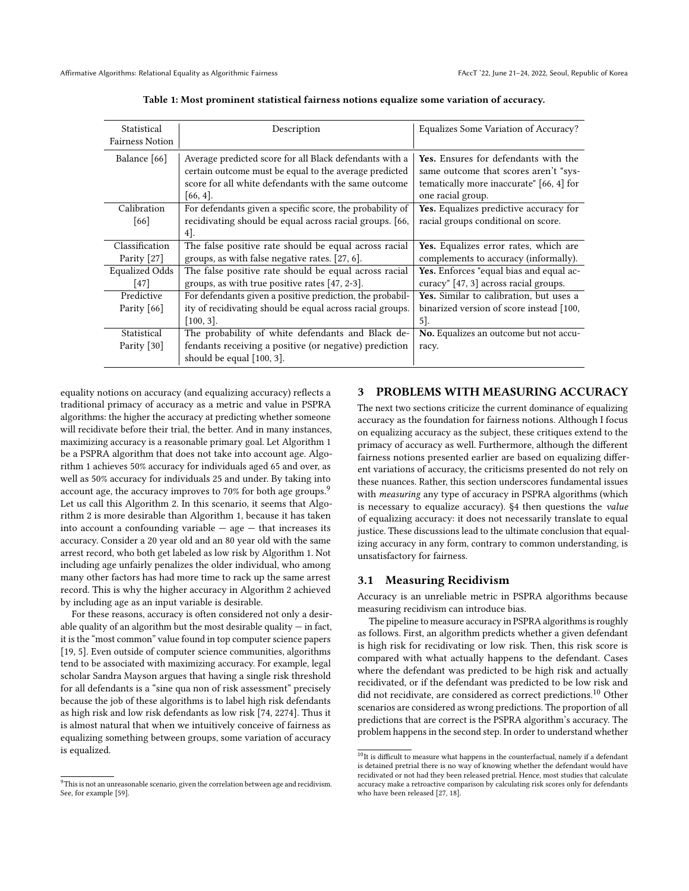<span id="page-2-0"></span>

| Statistical<br><b>Fairness Notion</b> | Description                                                                                                                                                                              | Equalizes Some Variation of Accuracy?                                                                                                          |
|---------------------------------------|------------------------------------------------------------------------------------------------------------------------------------------------------------------------------------------|------------------------------------------------------------------------------------------------------------------------------------------------|
| Balance [66]                          | Average predicted score for all Black defendants with a<br>certain outcome must be equal to the average predicted<br>score for all white defendants with the same outcome<br>$[66, 4]$ . | Yes. Ensures for defendants with the<br>same outcome that scores aren't "sys-<br>tematically more inaccurate" [66, 4] for<br>one racial group. |
| Calibration<br>[66]                   | For defendants given a specific score, the probability of<br>recidivating should be equal across racial groups. [66,<br>$4$ .                                                            | Yes. Equalizes predictive accuracy for<br>racial groups conditional on score.                                                                  |
| Classification<br>Parity [27]         | The false positive rate should be equal across racial<br>groups, as with false negative rates. [27, 6].                                                                                  | Yes. Equalizes error rates, which are<br>complements to accuracy (informally).                                                                 |
| <b>Equalized Odds</b><br>$[47]$       | The false positive rate should be equal across racial<br>groups, as with true positive rates $[47, 2-3]$ .                                                                               | Yes. Enforces "equal bias and equal ac-<br>curacy" [47, 3] across racial groups.                                                               |
| Predictive<br>Parity $[66]$           | For defendants given a positive prediction, the probabil-<br>ity of recidivating should be equal across racial groups.<br>$[100, 3]$ .                                                   | Yes. Similar to calibration, but uses a<br>binarized version of score instead [100,<br>5].                                                     |
| Statistical<br>Parity [30]            | The probability of white defendants and Black de-<br>fendants receiving a positive (or negative) prediction<br>should be equal $[100, 3]$ .                                              | No. Equalizes an outcome but not accu-<br>racy.                                                                                                |

Table 1: Most prominent statistical fairness notions equalize some variation of accuracy.

equality notions on accuracy (and equalizing accuracy) reflects a traditional primacy of accuracy as a metric and value in PSPRA algorithms: the higher the accuracy at predicting whether someone will recidivate before their trial, the better. And in many instances, maximizing accuracy is a reasonable primary goal. Let Algorithm 1 be a PSPRA algorithm that does not take into account age. Algorithm 1 achieves 50% accuracy for individuals aged 65 and over, as well as 50% accuracy for individuals 25 and under. By taking into account age, the accuracy improves to 70% for both age groups.<sup>[9](#page-2-2)</sup> Let us call this Algorithm 2. In this scenario, it seems that Algorithm 2 is more desirable than Algorithm 1, because it has taken into account a confounding variable  $-$  age  $-$  that increases its accuracy. Consider a 20 year old and an 80 year old with the same arrest record, who both get labeled as low risk by Algorithm 1. Not including age unfairly penalizes the older individual, who among many other factors has had more time to rack up the same arrest record. This is why the higher accuracy in Algorithm 2 achieved by including age as an input variable is desirable.

For these reasons, accuracy is often considered not only a desirable quality of an algorithm but the most desirable quality  $-$  in fact, it is the "most common" value found in top computer science papers [\[19,](#page-10-23) 5]. Even outside of computer science communities, algorithms tend to be associated with maximizing accuracy. For example, legal scholar Sandra Mayson argues that having a single risk threshold for all defendants is a "sine qua non of risk assessment" precisely because the job of these algorithms is to label high risk defendants as high risk and low risk defendants as low risk [\[74,](#page-11-11) 2274]. Thus it is almost natural that when we intuitively conceive of fairness as equalizing something between groups, some variation of accuracy is equalized.

#### <span id="page-2-1"></span>3 PROBLEMS WITH MEASURING ACCURACY

The next two sections criticize the current dominance of equalizing accuracy as the foundation for fairness notions. Although I focus on equalizing accuracy as the subject, these critiques extend to the primacy of accuracy as well. Furthermore, although the different fairness notions presented earlier are based on equalizing different variations of accuracy, the criticisms presented do not rely on these nuances. Rather, this section underscores fundamental issues with measuring any type of accuracy in PSPRA algorithms (which is necessary to equalize accuracy). [§4](#page-3-0) then questions the value of equalizing accuracy: it does not necessarily translate to equal justice. These discussions lead to the ultimate conclusion that equalizing accuracy in any form, contrary to common understanding, is unsatisfactory for fairness.

#### <span id="page-2-4"></span>3.1 Measuring Recidivism

Accuracy is an unreliable metric in PSPRA algorithms because measuring recidivism can introduce bias.

The pipeline to measure accuracy in PSPRA algorithms is roughly as follows. First, an algorithm predicts whether a given defendant is high risk for recidivating or low risk. Then, this risk score is compared with what actually happens to the defendant. Cases where the defendant was predicted to be high risk and actually recidivated, or if the defendant was predicted to be low risk and did not recidivate, are considered as correct predictions.[10](#page-2-3) Other scenarios are considered as wrong predictions. The proportion of all predictions that are correct is the PSPRA algorithm's accuracy. The problem happens in the second step. In order to understand whether

<span id="page-2-2"></span> $^9\!$  This is not an unreasonable scenario, given the correlation between age and recidivism. See, for example [\[59\]](#page-11-12).

<span id="page-2-3"></span> $^{10}{\rm It}$  is difficult to measure what happens in the counterfactual, namely if a defendant is detained pretrial there is no way of knowing whether the defendant would have recidivated or not had they been released pretrial. Hence, most studies that calculate accuracy make a retroactive comparison by calculating risk scores only for defendants who have been released [\[27,](#page-10-4) 18].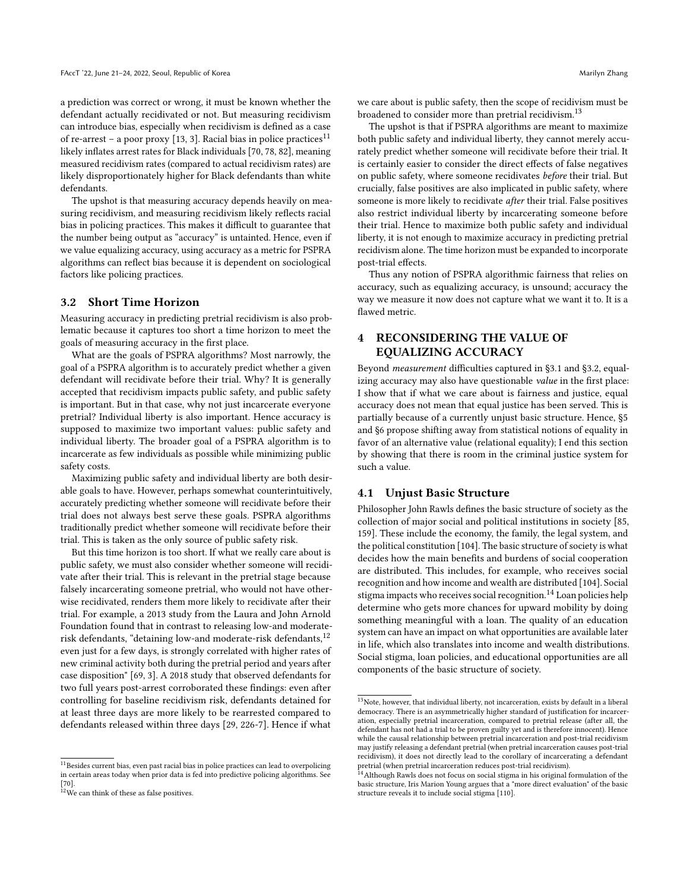a prediction was correct or wrong, it must be known whether the defendant actually recidivated or not. But measuring recidivism can introduce bias, especially when recidivism is defined as a case of re-arrest – a poor proxy [\[13,](#page-10-24) 3]. Racial bias in police practices<sup>[11](#page-3-1)</sup> likely inflates arrest rates for Black individuals [\[70,](#page-11-13) [78,](#page-11-14) [82\]](#page-11-15), meaning measured recidivism rates (compared to actual recidivism rates) are likely disproportionately higher for Black defendants than white defendants.

The upshot is that measuring accuracy depends heavily on measuring recidivism, and measuring recidivism likely reflects racial bias in policing practices. This makes it difficult to guarantee that the number being output as "accuracy" is untainted. Hence, even if we value equalizing accuracy, using accuracy as a metric for PSPRA algorithms can reflect bias because it is dependent on sociological factors like policing practices.

#### <span id="page-3-4"></span>3.2 Short Time Horizon

Measuring accuracy in predicting pretrial recidivism is also problematic because it captures too short a time horizon to meet the goals of measuring accuracy in the first place.

What are the goals of PSPRA algorithms? Most narrowly, the goal of a PSPRA algorithm is to accurately predict whether a given defendant will recidivate before their trial. Why? It is generally accepted that recidivism impacts public safety, and public safety is important. But in that case, why not just incarcerate everyone pretrial? Individual liberty is also important. Hence accuracy is supposed to maximize two important values: public safety and individual liberty. The broader goal of a PSPRA algorithm is to incarcerate as few individuals as possible while minimizing public safety costs.

Maximizing public safety and individual liberty are both desirable goals to have. However, perhaps somewhat counterintuitively, accurately predicting whether someone will recidivate before their trial does not always best serve these goals. PSPRA algorithms traditionally predict whether someone will recidivate before their trial. This is taken as the only source of public safety risk.

But this time horizon is too short. If what we really care about is public safety, we must also consider whether someone will recidivate after their trial. This is relevant in the pretrial stage because falsely incarcerating someone pretrial, who would not have otherwise recidivated, renders them more likely to recidivate after their trial. For example, a 2013 study from the Laura and John Arnold Foundation found that in contrast to releasing low-and moderate-risk defendants, "detaining low-and moderate-risk defendants,<sup>[12](#page-3-2)</sup> even just for a few days, is strongly correlated with higher rates of new criminal activity both during the pretrial period and years after case disposition" [\[69,](#page-11-16) 3]. A 2018 study that observed defendants for two full years post-arrest corroborated these findings: even after controlling for baseline recidivism risk, defendants detained for at least three days are more likely to be rearrested compared to defendants released within three days [\[29,](#page-10-25) 226-7]. Hence if what

we care about is public safety, then the scope of recidivism must be broadened to consider more than pretrial recidivism.<sup>[13](#page-3-3)</sup>

The upshot is that if PSPRA algorithms are meant to maximize both public safety and individual liberty, they cannot merely accurately predict whether someone will recidivate before their trial. It is certainly easier to consider the direct effects of false negatives on public safety, where someone recidivates before their trial. But crucially, false positives are also implicated in public safety, where someone is more likely to recidivate after their trial. False positives also restrict individual liberty by incarcerating someone before their trial. Hence to maximize both public safety and individual liberty, it is not enough to maximize accuracy in predicting pretrial recidivism alone. The time horizon must be expanded to incorporate post-trial effects.

Thus any notion of PSPRA algorithmic fairness that relies on accuracy, such as equalizing accuracy, is unsound; accuracy the way we measure it now does not capture what we want it to. It is a flawed metric.

# <span id="page-3-0"></span>4 RECONSIDERING THE VALUE OF EQUALIZING ACCURACY

Beyond measurement difficulties captured in [§3.1](#page-2-4) and [§3.2,](#page-3-4) equalizing accuracy may also have questionable value in the first place: I show that if what we care about is fairness and justice, equal accuracy does not mean that equal justice has been served. This is partially because of a currently unjust basic structure. Hence, [§5](#page-5-0) and [§6](#page-6-1) propose shifting away from statistical notions of equality in favor of an alternative value (relational equality); I end this section by showing that there is room in the criminal justice system for such a value.

#### 4.1 Unjust Basic Structure

Philosopher John Rawls defines the basic structure of society as the collection of major social and political institutions in society [\[85,](#page-11-17) 159]. These include the economy, the family, the legal system, and the political constitution [\[104\]](#page-11-18). The basic structure of society is what decides how the main benefits and burdens of social cooperation are distributed. This includes, for example, who receives social recognition and how income and wealth are distributed [\[104\]](#page-11-18). Social stigma impacts who receives social recognition.<sup>[14](#page-3-5)</sup> Loan policies help determine who gets more chances for upward mobility by doing something meaningful with a loan. The quality of an education system can have an impact on what opportunities are available later in life, which also translates into income and wealth distributions. Social stigma, loan policies, and educational opportunities are all components of the basic structure of society.

<span id="page-3-1"></span> $^{11}\!$  Besides current bias, even past racial bias in police practices can lead to overpolicing in certain areas today when prior data is fed into predictive policing algorithms. See [\[70\]](#page-11-13).

<span id="page-3-2"></span> $12$ We can think of these as false positives.

<span id="page-3-3"></span> $^{13}\rm{Note},$  however, that individual liberty, not incarceration, exists by default in a liberal democracy. There is an asymmetrically higher standard of justification for incarceration, especially pretrial incarceration, compared to pretrial release (after all, the defendant has not had a trial to be proven guilty yet and is therefore innocent). Hence while the causal relationship between pretrial incarceration and post-trial recidivism may justify releasing a defendant pretrial (when pretrial incarceration causes post-trial recidivism), it does not directly lead to the corollary of incarcerating a defendant pretrial (when pretrial incarceration reduces post-trial recidivism).

<span id="page-3-5"></span> $^{14}$ Although Rawls does not focus on social stigma in his original formulation of the basic structure, Iris Marion Young argues that a "more direct evaluation" of the basic structure reveals it to include social stigma [\[110\]](#page-12-3).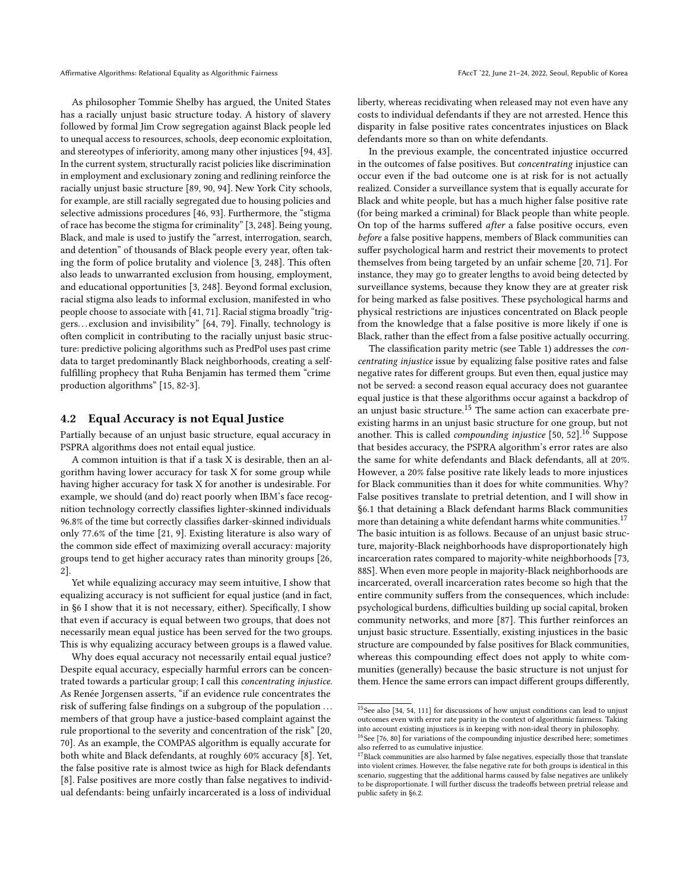Affirmative Algorithms: Relational Equality as Algorithmic Fairness FACCT '22, June 21-24, 2022, Seoul, Republic of Korea

As philosopher Tommie Shelby has argued, the United States has a racially unjust basic structure today. A history of slavery followed by formal Jim Crow segregation against Black people led to unequal access to resources, schools, deep economic exploitation, and stereotypes of inferiority, among many other injustices [\[94,](#page-11-19) 43]. In the current system, structurally racist policies like discrimination in employment and exclusionary zoning and redlining reinforce the racially unjust basic structure [\[89,](#page-11-20) [90,](#page-11-21) [94\]](#page-11-19). New York City schools, for example, are still racially segregated due to housing policies and selective admissions procedures [\[46,](#page-10-26) [93\]](#page-11-22). Furthermore, the "stigma of race has become the stigma for criminality" [\[3,](#page-9-3) 248]. Being young, Black, and male is used to justify the "arrest, interrogation, search, and detention" of thousands of Black people every year, often taking the form of police brutality and violence [\[3,](#page-9-3) 248]. This often also leads to unwarranted exclusion from housing, employment, and educational opportunities [\[3,](#page-9-3) 248]. Beyond formal exclusion, racial stigma also leads to informal exclusion, manifested in who people choose to associate with [\[41,](#page-10-27) 71]. Racial stigma broadly "triggers. . . exclusion and invisibility" [\[64,](#page-11-23) 79]. Finally, technology is often complicit in contributing to the racially unjust basic structure: predictive policing algorithms such as PredPol uses past crime data to target predominantly Black neighborhoods, creating a selffulfilling prophecy that Ruha Benjamin has termed them "crime production algorithms" [\[15,](#page-10-28) 82-3].

#### <span id="page-4-3"></span>4.2 Equal Accuracy is not Equal Justice

Partially because of an unjust basic structure, equal accuracy in PSPRA algorithms does not entail equal justice.

A common intuition is that if a task X is desirable, then an algorithm having lower accuracy for task X for some group while having higher accuracy for task X for another is undesirable. For example, we should (and do) react poorly when IBM's face recognition technology correctly classifies lighter-skinned individuals 96.8% of the time but correctly classifies darker-skinned individuals only 77.6% of the time [\[21,](#page-10-29) 9]. Existing literature is also wary of the common side effect of maximizing overall accuracy: majority groups tend to get higher accuracy rates than minority groups [\[26,](#page-10-2) 2].

Yet while equalizing accuracy may seem intuitive, I show that equalizing accuracy is not sufficient for equal justice (and in fact, in [§6](#page-6-1) I show that it is not necessary, either). Specifically, I show that even if accuracy is equal between two groups, that does not necessarily mean equal justice has been served for the two groups. This is why equalizing accuracy between groups is a flawed value.

Why does equal accuracy not necessarily entail equal justice? Despite equal accuracy, especially harmful errors can be concentrated towards a particular group; I call this concentrating injustice. As Renée Jorgensen asserts, "if an evidence rule concentrates the risk of suffering false findings on a subgroup of the population . . . members of that group have a justice-based complaint against the rule proportional to the severity and concentration of the risk" [\[20,](#page-10-30) 70]. As an example, the COMPAS algorithm is equally accurate for both white and Black defendants, at roughly 60% accuracy [\[8\]](#page-9-0). Yet, the false positive rate is almost twice as high for Black defendants [\[8\]](#page-9-0). False positives are more costly than false negatives to individual defendants: being unfairly incarcerated is a loss of individual

liberty, whereas recidivating when released may not even have any costs to individual defendants if they are not arrested. Hence this disparity in false positive rates concentrates injustices on Black defendants more so than on white defendants.

In the previous example, the concentrated injustice occurred in the outcomes of false positives. But concentrating injustice can occur even if the bad outcome one is at risk for is not actually realized. Consider a surveillance system that is equally accurate for Black and white people, but has a much higher false positive rate (for being marked a criminal) for Black people than white people. On top of the harms suffered after a false positive occurs, even before a false positive happens, members of Black communities can suffer psychological harm and restrict their movements to protect themselves from being targeted by an unfair scheme [\[20,](#page-10-30) 71]. For instance, they may go to greater lengths to avoid being detected by surveillance systems, because they know they are at greater risk for being marked as false positives. These psychological harms and physical restrictions are injustices concentrated on Black people from the knowledge that a false positive is more likely if one is Black, rather than the effect from a false positive actually occurring.

The classification parity metric (see Table [1\)](#page-2-0) addresses the concentrating injustice issue by equalizing false positive rates and false negative rates for different groups. But even then, equal justice may not be served: a second reason equal accuracy does not guarantee equal justice is that these algorithms occur against a backdrop of an unjust basic structure.[15](#page-4-0) The same action can exacerbate preexisting harms in an unjust basic structure for one group, but not another. This is called *compounding injustice* [\[50,](#page-10-31) [52\]](#page-10-32).<sup>[16](#page-4-1)</sup> Suppose that besides accuracy, the PSPRA algorithm's error rates are also the same for white defendants and Black defendants, all at 20%. However, a 20% false positive rate likely leads to more injustices for Black communities than it does for white communities. Why? False positives translate to pretrial detention, and I will show in [§6.1](#page-7-1) that detaining a Black defendant harms Black communities more than detaining a white defendant harms white communities.<sup>[17](#page-4-2)</sup> The basic intuition is as follows. Because of an unjust basic structure, majority-Black neighborhoods have disproportionately high incarceration rates compared to majority-white neighborhoods [\[73,](#page-11-24) 88S]. When even more people in majority-Black neighborhoods are incarcerated, overall incarceration rates become so high that the entire community suffers from the consequences, which include: psychological burdens, difficulties building up social capital, broken community networks, and more [\[87\]](#page-11-25). This further reinforces an unjust basic structure. Essentially, existing injustices in the basic structure are compounded by false positives for Black communities, whereas this compounding effect does not apply to white communities (generally) because the basic structure is not unjust for them. Hence the same errors can impact different groups differently,

<span id="page-4-0"></span><sup>15</sup>See also [\[34,](#page-10-10) [54,](#page-10-33) [111\]](#page-12-1) for discussions of how unjust conditions can lead to unjust outcomes even with error rate parity in the context of algorithmic fairness. Taking into account existing injustices is in keeping with non-ideal theory in philosophy. <sup>16</sup>See [\[76,](#page-11-26) [80\]](#page-11-27) for variations of the compounding injustice described here; sometimes

<span id="page-4-1"></span>also referred to as cumulative injustice.

<span id="page-4-2"></span> $17$ Black communities are also harmed by false negatives, especially those that translate into violent crimes. However, the false negative rate for both groups is identical in this scenario, suggesting that the additional harms caused by false negatives are unlikely to be disproportionate. I will further discuss the tradeoffs between pretrial release and public safety in [§6.2.](#page-8-0)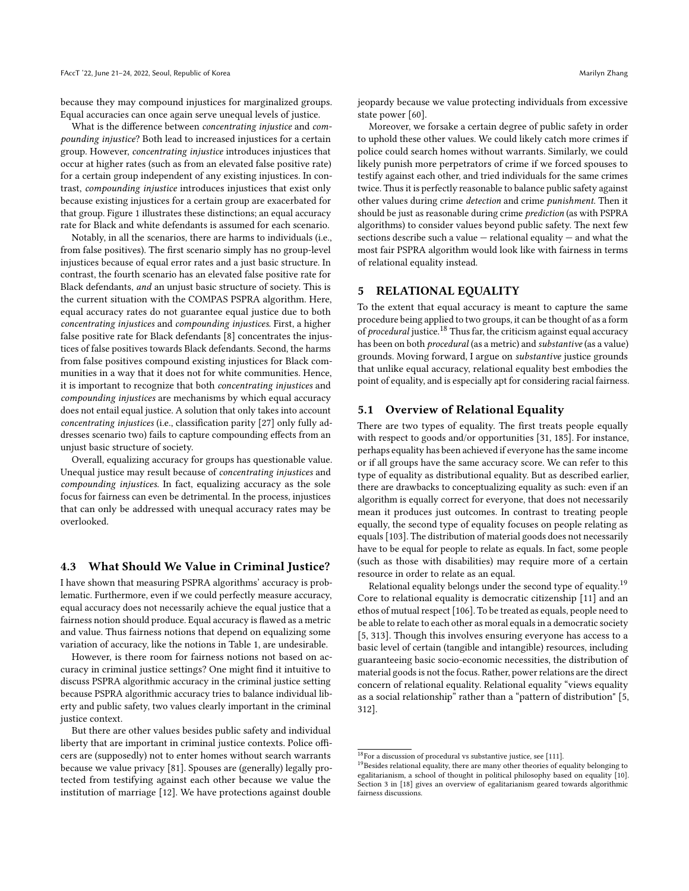because they may compound injustices for marginalized groups. Equal accuracies can once again serve unequal levels of justice.

What is the difference between concentrating injustice and compounding injustice? Both lead to increased injustices for a certain group. However, concentrating injustice introduces injustices that occur at higher rates (such as from an elevated false positive rate) for a certain group independent of any existing injustices. In contrast, compounding injustice introduces injustices that exist only because existing injustices for a certain group are exacerbated for that group. Figure [1](#page-6-2) illustrates these distinctions; an equal accuracy rate for Black and white defendants is assumed for each scenario.

Notably, in all the scenarios, there are harms to individuals (i.e., from false positives). The first scenario simply has no group-level injustices because of equal error rates and a just basic structure. In contrast, the fourth scenario has an elevated false positive rate for Black defendants, and an unjust basic structure of society. This is the current situation with the COMPAS PSPRA algorithm. Here, equal accuracy rates do not guarantee equal justice due to both concentrating injustices and compounding injustices. First, a higher false positive rate for Black defendants [\[8\]](#page-9-0) concentrates the injustices of false positives towards Black defendants. Second, the harms from false positives compound existing injustices for Black communities in a way that it does not for white communities. Hence, it is important to recognize that both concentrating injustices and compounding injustices are mechanisms by which equal accuracy does not entail equal justice. A solution that only takes into account concentrating injustices (i.e., classification parity [\[27\]](#page-10-4) only fully addresses scenario two) fails to capture compounding effects from an unjust basic structure of society.

Overall, equalizing accuracy for groups has questionable value. Unequal justice may result because of concentrating injustices and compounding injustices. In fact, equalizing accuracy as the sole focus for fairness can even be detrimental. In the process, injustices that can only be addressed with unequal accuracy rates may be overlooked.

#### <span id="page-5-3"></span>4.3 What Should We Value in Criminal Justice?

I have shown that measuring PSPRA algorithms' accuracy is problematic. Furthermore, even if we could perfectly measure accuracy, equal accuracy does not necessarily achieve the equal justice that a fairness notion should produce. Equal accuracy is flawed as a metric and value. Thus fairness notions that depend on equalizing some variation of accuracy, like the notions in Table [1,](#page-2-0) are undesirable.

However, is there room for fairness notions not based on accuracy in criminal justice settings? One might find it intuitive to discuss PSPRA algorithmic accuracy in the criminal justice setting because PSPRA algorithmic accuracy tries to balance individual liberty and public safety, two values clearly important in the criminal justice context.

But there are other values besides public safety and individual liberty that are important in criminal justice contexts. Police officers are (supposedly) not to enter homes without search warrants because we value privacy [\[81\]](#page-11-28). Spouses are (generally) legally protected from testifying against each other because we value the institution of marriage [\[12\]](#page-10-34). We have protections against double

jeopardy because we value protecting individuals from excessive state power [\[60\]](#page-11-29).

Moreover, we forsake a certain degree of public safety in order to uphold these other values. We could likely catch more crimes if police could search homes without warrants. Similarly, we could likely punish more perpetrators of crime if we forced spouses to testify against each other, and tried individuals for the same crimes twice. Thus it is perfectly reasonable to balance public safety against other values during crime detection and crime punishment. Then it should be just as reasonable during crime prediction (as with PSPRA algorithms) to consider values beyond public safety. The next few sections describe such a value  $-$  relational equality  $-$  and what the most fair PSPRA algorithm would look like with fairness in terms of relational equality instead.

#### <span id="page-5-0"></span>5 RELATIONAL EQUALITY

To the extent that equal accuracy is meant to capture the same procedure being applied to two groups, it can be thought of as a form of *procedural* justice.<sup>[18](#page-5-2)</sup> Thus far, the criticism against equal accuracy has been on both procedural (as a metric) and substantive (as a value) grounds. Moving forward, I argue on substantive justice grounds that unlike equal accuracy, relational equality best embodies the point of equality, and is especially apt for considering racial fairness.

### 5.1 Overview of Relational Equality

There are two types of equality. The first treats people equally with respect to goods and/or opportunities [\[31,](#page-10-35) 185]. For instance, perhaps equality has been achieved if everyone has the same income or if all groups have the same accuracy score. We can refer to this type of equality as distributional equality. But as described earlier, there are drawbacks to conceptualizing equality as such: even if an algorithm is equally correct for everyone, that does not necessarily mean it produces just outcomes. In contrast to treating people equally, the second type of equality focuses on people relating as equals [\[103\]](#page-11-30). The distribution of material goods does not necessarily have to be equal for people to relate as equals. In fact, some people (such as those with disabilities) may require more of a certain resource in order to relate as an equal.

Relational equality belongs under the second type of equality.[19](#page-5-1) Core to relational equality is democratic citizenship [\[11\]](#page-10-36) and an ethos of mutual respect [\[106\]](#page-12-4). To be treated as equals, people need to be able to relate to each other as moral equals in a democratic society [\[5,](#page-9-1) 313]. Though this involves ensuring everyone has access to a basic level of certain (tangible and intangible) resources, including guaranteeing basic socio-economic necessities, the distribution of material goods is not the focus. Rather, power relations are the direct concern of relational equality. Relational equality "views equality as a social relationship" rather than a "pattern of distribution" [\[5,](#page-9-1) 312].

<span id="page-5-2"></span> $^{18}{\rm For}$  a discussion of procedural vs substantive justice, see [\[111\]](#page-12-1).

<span id="page-5-1"></span> $^{19}$  Besides relational equality, there are many other theories of equality belonging to egalitarianism, a school of thought in political philosophy based on equality [\[10\]](#page-10-37). Section 3 in [\[18\]](#page-10-7) gives an overview of egalitarianism geared towards algorithmic fairness discussions.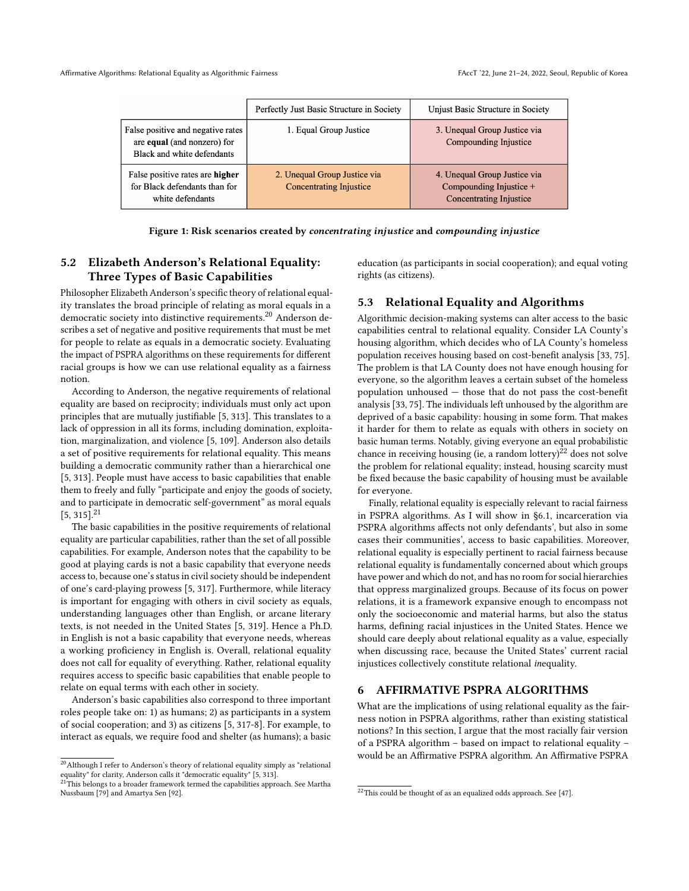<span id="page-6-2"></span>

|                                                                                                | Perfectly Just Basic Structure in Society                      | Unjust Basic Structure in Society                                                         |
|------------------------------------------------------------------------------------------------|----------------------------------------------------------------|-------------------------------------------------------------------------------------------|
| False positive and negative rates<br>are equal (and nonzero) for<br>Black and white defendants | 1. Equal Group Justice                                         | 3. Unequal Group Justice via<br>Compounding Injustice                                     |
| False positive rates are higher<br>for Black defendants than for<br>white defendants           | 2. Unequal Group Justice via<br><b>Concentrating Injustice</b> | 4. Unequal Group Justice via<br>Compounding Injustice +<br><b>Concentrating Injustice</b> |

Figure 1: Risk scenarios created by concentrating injustice and compounding injustice

# 5.2 Elizabeth Anderson's Relational Equality: Three Types of Basic Capabilities

Philosopher Elizabeth Anderson's specific theory of relational equality translates the broad principle of relating as moral equals in a democratic society into distinctive requirements.[20](#page-6-0) Anderson describes a set of negative and positive requirements that must be met for people to relate as equals in a democratic society. Evaluating the impact of PSPRA algorithms on these requirements for different racial groups is how we can use relational equality as a fairness notion.

According to Anderson, the negative requirements of relational equality are based on reciprocity; individuals must only act upon principles that are mutually justifiable [\[5,](#page-9-1) 313]. This translates to a lack of oppression in all its forms, including domination, exploitation, marginalization, and violence [\[5,](#page-9-1) [109\]](#page-12-5). Anderson also details a set of positive requirements for relational equality. This means building a democratic community rather than a hierarchical one [\[5,](#page-9-1) 313]. People must have access to basic capabilities that enable them to freely and fully "participate and enjoy the goods of society, and to participate in democratic self-government" as moral equals  $[5, 315]$  $[5, 315]$ <sup>[21](#page-6-3)</sup>

The basic capabilities in the positive requirements of relational equality are particular capabilities, rather than the set of all possible capabilities. For example, Anderson notes that the capability to be good at playing cards is not a basic capability that everyone needs access to, because one's status in civil society should be independent of one's card-playing prowess [\[5,](#page-9-1) 317]. Furthermore, while literacy is important for engaging with others in civil society as equals, understanding languages other than English, or arcane literary texts, is not needed in the United States [\[5,](#page-9-1) 319]. Hence a Ph.D. in English is not a basic capability that everyone needs, whereas a working proficiency in English is. Overall, relational equality does not call for equality of everything. Rather, relational equality requires access to specific basic capabilities that enable people to relate on equal terms with each other in society.

Anderson's basic capabilities also correspond to three important roles people take on: 1) as humans; 2) as participants in a system of social cooperation; and 3) as citizens [\[5,](#page-9-1) 317-8]. For example, to interact as equals, we require food and shelter (as humans); a basic education (as participants in social cooperation); and equal voting rights (as citizens).

# 5.3 Relational Equality and Algorithms

Algorithmic decision-making systems can alter access to the basic capabilities central to relational equality. Consider LA County's housing algorithm, which decides who of LA County's homeless population receives housing based on cost-benefit analysis [\[33,](#page-10-38) [75\]](#page-11-33). The problem is that LA County does not have enough housing for everyone, so the algorithm leaves a certain subset of the homeless population unhoused — those that do not pass the cost-benefit analysis [\[33,](#page-10-38) [75\]](#page-11-33). The individuals left unhoused by the algorithm are deprived of a basic capability: housing in some form. That makes it harder for them to relate as equals with others in society on basic human terms. Notably, giving everyone an equal probabilistic chance in receiving housing (ie, a random lottery)<sup>[22](#page-6-4)</sup> does not solve the problem for relational equality; instead, housing scarcity must be fixed because the basic capability of housing must be available for everyone.

Finally, relational equality is especially relevant to racial fairness in PSPRA algorithms. As I will show in [§6.1,](#page-7-1) incarceration via PSPRA algorithms affects not only defendants', but also in some cases their communities', access to basic capabilities. Moreover, relational equality is especially pertinent to racial fairness because relational equality is fundamentally concerned about which groups have power and which do not, and has no room for social hierarchies that oppress marginalized groups. Because of its focus on power relations, it is a framework expansive enough to encompass not only the socioeconomic and material harms, but also the status harms, defining racial injustices in the United States. Hence we should care deeply about relational equality as a value, especially when discussing race, because the United States' current racial injustices collectively constitute relational inequality.

#### <span id="page-6-1"></span>6 AFFIRMATIVE PSPRA ALGORITHMS

What are the implications of using relational equality as the fairness notion in PSPRA algorithms, rather than existing statistical notions? In this section, I argue that the most racially fair version of a PSPRA algorithm – based on impact to relational equality – would be an Affirmative PSPRA algorithm. An Affirmative PSPRA

<span id="page-6-0"></span> $^\mathrm{20}\textnormal{Although I refer to Anderson's theory of relational equality simply as "relational"}$ 

<span id="page-6-3"></span>equality" for clarity, Anderson calls it "democratic equality" [\[5,](#page-9-1) 313].<br><sup>21</sup>This belongs to a broader framework termed the capabilities approach. See Martha Nussbaum [\[79\]](#page-11-31) and Amartya Sen [\[92\]](#page-11-32).

<span id="page-6-4"></span> $^{22}\mathrm{This}$  could be thought of as an equalized odds approach. See [\[47\]](#page-10-5).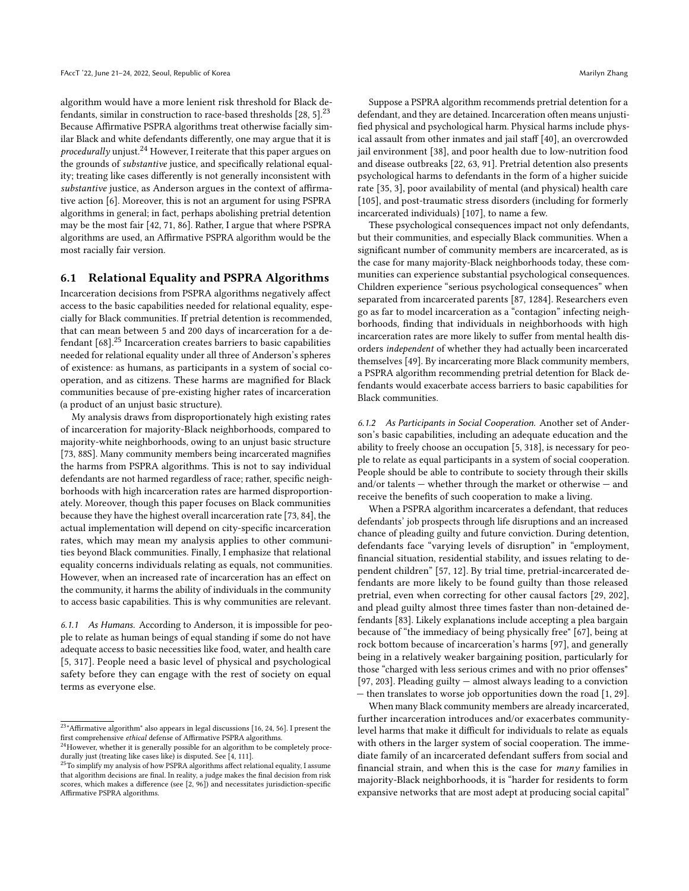algorithm would have a more lenient risk threshold for Black defendants, similar in construction to race-based thresholds  $[28, 5]$  $[28, 5]$ .<sup>[23](#page-7-0)</sup> Because Affirmative PSPRA algorithms treat otherwise facially similar Black and white defendants differently, one may argue that it is *procedurally* unjust.<sup>[24](#page-7-2)</sup> However, I reiterate that this paper argues on the grounds of substantive justice, and specifically relational equality; treating like cases differently is not generally inconsistent with substantive justice, as Anderson argues in the context of affirmative action [\[6\]](#page-9-4). Moreover, this is not an argument for using PSPRA algorithms in general; in fact, perhaps abolishing pretrial detention may be the most fair [\[42,](#page-10-13) [71,](#page-11-2) [86\]](#page-11-3). Rather, I argue that where PSPRA algorithms are used, an Affirmative PSPRA algorithm would be the most racially fair version.

#### <span id="page-7-1"></span>6.1 Relational Equality and PSPRA Algorithms

Incarceration decisions from PSPRA algorithms negatively affect access to the basic capabilities needed for relational equality, especially for Black communities. If pretrial detention is recommended, that can mean between 5 and 200 days of incarceration for a defendant  $[68]$ .<sup>[25](#page-7-3)</sup> Incarceration creates barriers to basic capabilities needed for relational equality under all three of Anderson's spheres of existence: as humans, as participants in a system of social cooperation, and as citizens. These harms are magnified for Black communities because of pre-existing higher rates of incarceration (a product of an unjust basic structure).

My analysis draws from disproportionately high existing rates of incarceration for majority-Black neighborhoods, compared to majority-white neighborhoods, owing to an unjust basic structure [\[73,](#page-11-24) 88S]. Many community members being incarcerated magnifies the harms from PSPRA algorithms. This is not to say individual defendants are not harmed regardless of race; rather, specific neighborhoods with high incarceration rates are harmed disproportionately. Moreover, though this paper focuses on Black communities because they have the highest overall incarceration rate [\[73,](#page-11-24) [84\]](#page-11-35), the actual implementation will depend on city-specific incarceration rates, which may mean my analysis applies to other communities beyond Black communities. Finally, I emphasize that relational equality concerns individuals relating as equals, not communities. However, when an increased rate of incarceration has an effect on the community, it harms the ability of individuals in the community to access basic capabilities. This is why communities are relevant.

6.1.1 As Humans. According to Anderson, it is impossible for people to relate as human beings of equal standing if some do not have adequate access to basic necessities like food, water, and health care [\[5,](#page-9-1) 317]. People need a basic level of physical and psychological safety before they can engage with the rest of society on equal terms as everyone else.

Suppose a PSPRA algorithm recommends pretrial detention for a defendant, and they are detained. Incarceration often means unjustified physical and psychological harm. Physical harms include physical assault from other inmates and jail staff [\[40\]](#page-10-41), an overcrowded jail environment [\[38\]](#page-10-42), and poor health due to low-nutrition food and disease outbreaks [\[22,](#page-10-43) [63,](#page-11-37) [91\]](#page-11-38). Pretrial detention also presents psychological harms to defendants in the form of a higher suicide rate [\[35,](#page-10-44) 3], poor availability of mental (and physical) health care [\[105\]](#page-11-39), and post-traumatic stress disorders (including for formerly incarcerated individuals) [\[107\]](#page-12-6), to name a few.

These psychological consequences impact not only defendants, but their communities, and especially Black communities. When a significant number of community members are incarcerated, as is the case for many majority-Black neighborhoods today, these communities can experience substantial psychological consequences. Children experience "serious psychological consequences" when separated from incarcerated parents [\[87,](#page-11-25) 1284]. Researchers even go as far to model incarceration as a "contagion" infecting neighborhoods, finding that individuals in neighborhoods with high incarceration rates are more likely to suffer from mental health disorders independent of whether they had actually been incarcerated themselves [\[49\]](#page-10-45). By incarcerating more Black community members, a PSPRA algorithm recommending pretrial detention for Black defendants would exacerbate access barriers to basic capabilities for Black communities.

6.1.2 As Participants in Social Cooperation. Another set of Anderson's basic capabilities, including an adequate education and the ability to freely choose an occupation [\[5,](#page-9-1) 318], is necessary for people to relate as equal participants in a system of social cooperation. People should be able to contribute to society through their skills and/or talents — whether through the market or otherwise — and receive the benefits of such cooperation to make a living.

When a PSPRA algorithm incarcerates a defendant, that reduces defendants' job prospects through life disruptions and an increased chance of pleading guilty and future conviction. During detention, defendants face "varying levels of disruption" in "employment, financial situation, residential stability, and issues relating to dependent children" [\[57,](#page-11-40) 12]. By trial time, pretrial-incarcerated defendants are more likely to be found guilty than those released pretrial, even when correcting for other causal factors [\[29,](#page-10-25) 202], and plead guilty almost three times faster than non-detained defendants [\[83\]](#page-11-41). Likely explanations include accepting a plea bargain because of "the immediacy of being physically free" [\[67\]](#page-11-42), being at rock bottom because of incarceration's harms [\[97\]](#page-11-43), and generally being in a relatively weaker bargaining position, particularly for those "charged with less serious crimes and with no prior offenses" [\[97,](#page-11-43) 203]. Pleading guilty — almost always leading to a conviction — then translates to worse job opportunities down the road [\[1,](#page-9-7) [29\]](#page-10-25).

When many Black community members are already incarcerated, further incarceration introduces and/or exacerbates communitylevel harms that make it difficult for individuals to relate as equals with others in the larger system of social cooperation. The immediate family of an incarcerated defendant suffers from social and financial strain, and when this is the case for many families in majority-Black neighborhoods, it is "harder for residents to form expansive networks that are most adept at producing social capital"

<span id="page-7-0"></span> $^{23}$  "Affirmative algorithm" also appears in legal discussions [\[16,](#page-10-39) [24,](#page-10-40) [56\]](#page-11-9). I present the first comprehensive *ethical* defense of Affirmative PSPRA algorithms.<br><sup>24</sup>However, whether it is generally possible for an algorithm to be completely proce-

<span id="page-7-2"></span>durally just (treating like cases like) is disputed. See [\[4,](#page-9-5) [111\]](#page-12-1).<br><sup>25</sup>To simplify my analysis of how PSPRA algorithms affect relational equality, I assume

<span id="page-7-3"></span>that algorithm decisions are final. In reality, a judge makes the final decision from risk scores, which makes a difference (see [\[2,](#page-9-6) [96\]](#page-11-36)) and necessitates jurisdiction-specific Affirmative PSPRA algorithms.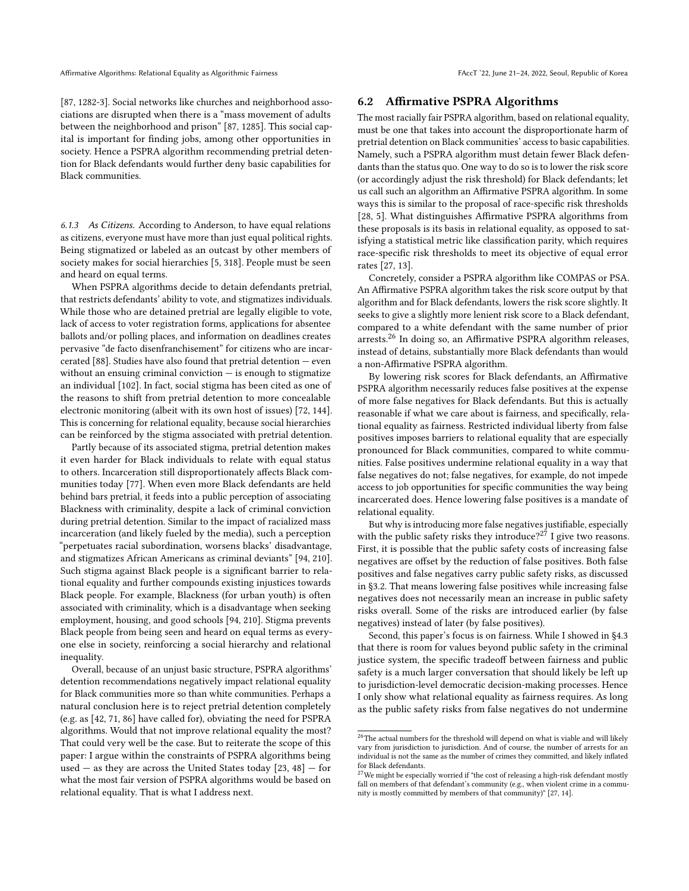[\[87,](#page-11-25) 1282-3]. Social networks like churches and neighborhood associations are disrupted when there is a "mass movement of adults between the neighborhood and prison" [\[87,](#page-11-25) 1285]. This social capital is important for finding jobs, among other opportunities in society. Hence a PSPRA algorithm recommending pretrial detention for Black defendants would further deny basic capabilities for Black communities.

6.1.3 As Citizens. According to Anderson, to have equal relations as citizens, everyone must have more than just equal political rights. Being stigmatized or labeled as an outcast by other members of society makes for social hierarchies [\[5,](#page-9-1) 318]. People must be seen and heard on equal terms.

When PSPRA algorithms decide to detain defendants pretrial, that restricts defendants' ability to vote, and stigmatizes individuals. While those who are detained pretrial are legally eligible to vote, lack of access to voter registration forms, applications for absentee ballots and/or polling places, and information on deadlines creates pervasive "de facto disenfranchisement" for citizens who are incar-cerated [\[88\]](#page-11-44). Studies have also found that pretrial detention  $-$  even without an ensuing criminal conviction  $-$  is enough to stigmatize an individual [\[102\]](#page-11-45). In fact, social stigma has been cited as one of the reasons to shift from pretrial detention to more concealable electronic monitoring (albeit with its own host of issues) [\[72,](#page-11-46) 144]. This is concerning for relational equality, because social hierarchies can be reinforced by the stigma associated with pretrial detention.

Partly because of its associated stigma, pretrial detention makes it even harder for Black individuals to relate with equal status to others. Incarceration still disproportionately affects Black communities today [\[77\]](#page-11-47). When even more Black defendants are held behind bars pretrial, it feeds into a public perception of associating Blackness with criminality, despite a lack of criminal conviction during pretrial detention. Similar to the impact of racialized mass incarceration (and likely fueled by the media), such a perception "perpetuates racial subordination, worsens blacks' disadvantage, and stigmatizes African Americans as criminal deviants" [\[94,](#page-11-19) 210]. Such stigma against Black people is a significant barrier to relational equality and further compounds existing injustices towards Black people. For example, Blackness (for urban youth) is often associated with criminality, which is a disadvantage when seeking employment, housing, and good schools [\[94,](#page-11-19) 210]. Stigma prevents Black people from being seen and heard on equal terms as everyone else in society, reinforcing a social hierarchy and relational inequality.

Overall, because of an unjust basic structure, PSPRA algorithms' detention recommendations negatively impact relational equality for Black communities more so than white communities. Perhaps a natural conclusion here is to reject pretrial detention completely (e.g. as [\[42,](#page-10-13) [71,](#page-11-2) [86\]](#page-11-3) have called for), obviating the need for PSPRA algorithms. Would that not improve relational equality the most? That could very well be the case. But to reiterate the scope of this paper: I argue within the constraints of PSPRA algorithms being used — as they are across the United States today  $[23, 48]$  $[23, 48]$  $[23, 48]$  — for what the most fair version of PSPRA algorithms would be based on relational equality. That is what I address next.

#### <span id="page-8-0"></span>6.2 Affirmative PSPRA Algorithms

The most racially fair PSPRA algorithm, based on relational equality, must be one that takes into account the disproportionate harm of pretrial detention on Black communities' access to basic capabilities. Namely, such a PSPRA algorithm must detain fewer Black defendants than the status quo. One way to do so is to lower the risk score (or accordingly adjust the risk threshold) for Black defendants; let us call such an algorithm an Affirmative PSPRA algorithm. In some ways this is similar to the proposal of race-specific risk thresholds [\[28,](#page-10-12) 5]. What distinguishes Affirmative PSPRA algorithms from these proposals is its basis in relational equality, as opposed to satisfying a statistical metric like classification parity, which requires race-specific risk thresholds to meet its objective of equal error rates [\[27,](#page-10-4) 13].

Concretely, consider a PSPRA algorithm like COMPAS or PSA. An Affirmative PSPRA algorithm takes the risk score output by that algorithm and for Black defendants, lowers the risk score slightly. It seeks to give a slightly more lenient risk score to a Black defendant, compared to a white defendant with the same number of prior arrests.[26](#page-8-1) In doing so, an Affirmative PSPRA algorithm releases, instead of detains, substantially more Black defendants than would a non-Affirmative PSPRA algorithm.

By lowering risk scores for Black defendants, an Affirmative PSPRA algorithm necessarily reduces false positives at the expense of more false negatives for Black defendants. But this is actually reasonable if what we care about is fairness, and specifically, relational equality as fairness. Restricted individual liberty from false positives imposes barriers to relational equality that are especially pronounced for Black communities, compared to white communities. False positives undermine relational equality in a way that false negatives do not; false negatives, for example, do not impede access to job opportunities for specific communities the way being incarcerated does. Hence lowering false positives is a mandate of relational equality.

But why is introducing more false negatives justifiable, especially with the public safety risks they introduce?<sup>[27](#page-8-2)</sup> I give two reasons. First, it is possible that the public safety costs of increasing false negatives are offset by the reduction of false positives. Both false positives and false negatives carry public safety risks, as discussed in [§3.2.](#page-3-4) That means lowering false positives while increasing false negatives does not necessarily mean an increase in public safety risks overall. Some of the risks are introduced earlier (by false negatives) instead of later (by false positives).

Second, this paper's focus is on fairness. While I showed in [§4.3](#page-5-3) that there is room for values beyond public safety in the criminal justice system, the specific tradeoff between fairness and public safety is a much larger conversation that should likely be left up to jurisdiction-level democratic decision-making processes. Hence I only show what relational equality as fairness requires. As long as the public safety risks from false negatives do not undermine

<span id="page-8-1"></span> $^{26}\mathrm{The}$  actual numbers for the threshold will depend on what is viable and will likely vary from jurisdiction to jurisdiction. And of course, the number of arrests for an individual is not the same as the number of crimes they committed, and likely inflated for Black defendants.

<span id="page-8-2"></span> $27$ We might be especially worried if "the cost of releasing a high-risk defendant mostly fall on members of that defendant's community (e.g., when violent crime in a community is mostly committed by members of that community)" [\[27,](#page-10-4) 14].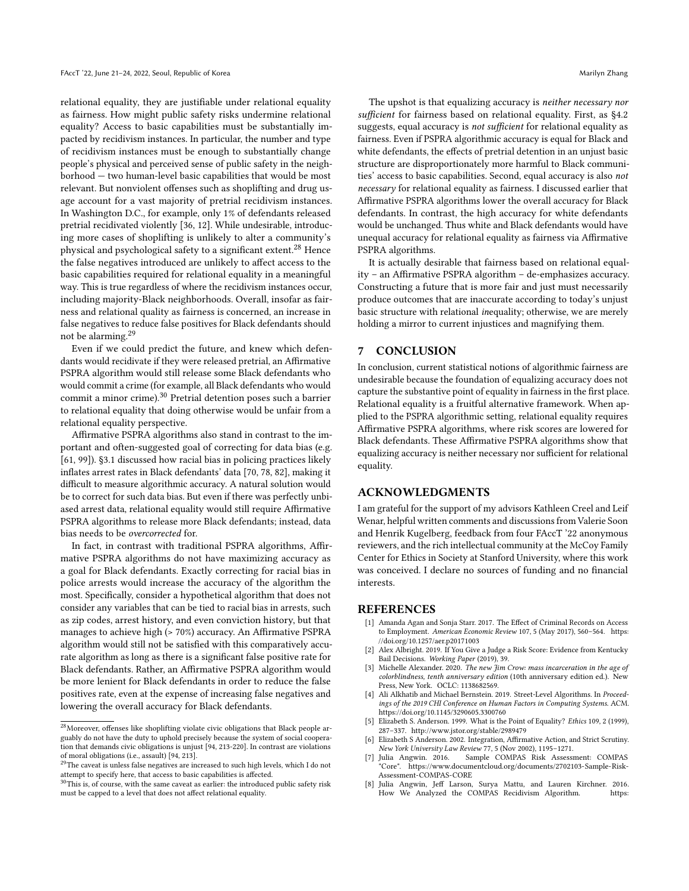relational equality, they are justifiable under relational equality as fairness. How might public safety risks undermine relational equality? Access to basic capabilities must be substantially impacted by recidivism instances. In particular, the number and type of recidivism instances must be enough to substantially change people's physical and perceived sense of public safety in the neighborhood — two human-level basic capabilities that would be most relevant. But nonviolent offenses such as shoplifting and drug usage account for a vast majority of pretrial recidivism instances. In Washington D.C., for example, only 1% of defendants released pretrial recidivated violently [\[36,](#page-10-46) 12]. While undesirable, introducing more cases of shoplifting is unlikely to alter a community's physical and psychological safety to a significant extent.[28](#page-9-8) Hence the false negatives introduced are unlikely to affect access to the basic capabilities required for relational equality in a meaningful way. This is true regardless of where the recidivism instances occur, including majority-Black neighborhoods. Overall, insofar as fairness and relational quality as fairness is concerned, an increase in false negatives to reduce false positives for Black defendants should not be alarming.[29](#page-9-9)

Even if we could predict the future, and knew which defendants would recidivate if they were released pretrial, an Affirmative PSPRA algorithm would still release some Black defendants who would commit a crime (for example, all Black defendants who would commit a minor crime).<sup>[30](#page-9-10)</sup> Pretrial detention poses such a barrier to relational equality that doing otherwise would be unfair from a relational equality perspective.

Affirmative PSPRA algorithms also stand in contrast to the important and often-suggested goal of correcting for data bias (e.g. [\[61,](#page-11-48) [99\]](#page-11-49)). [§3.1](#page-2-4) discussed how racial bias in policing practices likely inflates arrest rates in Black defendants' data [\[70,](#page-11-13) [78,](#page-11-14) [82\]](#page-11-15), making it difficult to measure algorithmic accuracy. A natural solution would be to correct for such data bias. But even if there was perfectly unbiased arrest data, relational equality would still require Affirmative PSPRA algorithms to release more Black defendants; instead, data bias needs to be overcorrected for.

In fact, in contrast with traditional PSPRA algorithms, Affirmative PSPRA algorithms do not have maximizing accuracy as a goal for Black defendants. Exactly correcting for racial bias in police arrests would increase the accuracy of the algorithm the most. Specifically, consider a hypothetical algorithm that does not consider any variables that can be tied to racial bias in arrests, such as zip codes, arrest history, and even conviction history, but that manages to achieve high (> 70%) accuracy. An Affirmative PSPRA algorithm would still not be satisfied with this comparatively accurate algorithm as long as there is a significant false positive rate for Black defendants. Rather, an Affirmative PSPRA algorithm would be more lenient for Black defendants in order to reduce the false positives rate, even at the expense of increasing false negatives and lowering the overall accuracy for Black defendants.

The upshot is that equalizing accuracy is neither necessary nor sufficient for fairness based on relational equality. First, as [§4.2](#page-4-3) suggests, equal accuracy is not sufficient for relational equality as fairness. Even if PSPRA algorithmic accuracy is equal for Black and white defendants, the effects of pretrial detention in an unjust basic structure are disproportionately more harmful to Black communities' access to basic capabilities. Second, equal accuracy is also not necessary for relational equality as fairness. I discussed earlier that Affirmative PSPRA algorithms lower the overall accuracy for Black defendants. In contrast, the high accuracy for white defendants would be unchanged. Thus white and Black defendants would have unequal accuracy for relational equality as fairness via Affirmative PSPRA algorithms.

It is actually desirable that fairness based on relational equality – an Affirmative PSPRA algorithm – de-emphasizes accuracy. Constructing a future that is more fair and just must necessarily produce outcomes that are inaccurate according to today's unjust basic structure with relational inequality; otherwise, we are merely holding a mirror to current injustices and magnifying them.

## 7 CONCLUSION

In conclusion, current statistical notions of algorithmic fairness are undesirable because the foundation of equalizing accuracy does not capture the substantive point of equality in fairness in the first place. Relational equality is a fruitful alternative framework. When applied to the PSPRA algorithmic setting, relational equality requires Affirmative PSPRA algorithms, where risk scores are lowered for Black defendants. These Affirmative PSPRA algorithms show that equalizing accuracy is neither necessary nor sufficient for relational equality.

#### ACKNOWLEDGMENTS

I am grateful for the support of my advisors Kathleen Creel and Leif Wenar, helpful written comments and discussions from Valerie Soon and Henrik Kugelberg, feedback from four FAccT '22 anonymous reviewers, and the rich intellectual community at the McCoy Family Center for Ethics in Society at Stanford University, where this work was conceived. I declare no sources of funding and no financial interests.

#### REFERENCES

- <span id="page-9-7"></span>[1] Amanda Agan and Sonja Starr. 2017. The Effect of Criminal Records on Access to Employment. American Economic Review 107, 5 (May 2017), 560–564. [https:](https://doi.org/10.1257/aer.p20171003) [//doi.org/10.1257/aer.p20171003](https://doi.org/10.1257/aer.p20171003)
- <span id="page-9-6"></span>Alex Albright. 2019. If You Give a Judge a Risk Score: Evidence from Kentucky Bail Decisions. Working Paper (2019), 39.
- <span id="page-9-3"></span>[3] Michelle Alexander. 2020. The new Jim Crow: mass incarceration in the age of colorblindness, tenth anniversary edition (10th anniversary edition ed.). New Press, New York. OCLC: 1138682569.
- <span id="page-9-5"></span>[4] Ali Alkhatib and Michael Bernstein. 2019. Street-Level Algorithms. In Proceedings of the 2019 CHI Conference on Human Factors in Computing Systems. ACM. <https://doi.org/10.1145/3290605.3300760>
- <span id="page-9-1"></span>[5] Elizabeth S. Anderson. 1999. What is the Point of Equality? Ethics 109, 2 (1999), 287–337.<http://www.jstor.org/stable/2989479>
- <span id="page-9-4"></span>[6] Elizabeth S Anderson. 2002. Integration, Affirmative Action, and Strict Scrutiny. New York University Law Review 77, 5 (Nov 2002), 1195–1271.
- <span id="page-9-2"></span>Sample COMPAS Risk Assessment: COMPAS "Core". [https://www.documentcloud.org/documents/2702103-Sample-Risk-](https://www.documentcloud.org/documents/2702103-Sample-Risk-Assessment-COMPAS-CORE)[Assessment-COMPAS-CORE](https://www.documentcloud.org/documents/2702103-Sample-Risk-Assessment-COMPAS-CORE)
- <span id="page-9-0"></span>[8] Julia Angwin, Jeff Larson, Surya Mattu, and Lauren Kirchner. 2016. How We Analyzed the COMPAS Recidivism Algorithm.

<span id="page-9-8"></span> $^\mathrm{28}\textsc{Moreover}$  offenses like shoplifting violate civic obligations that Black people arguably do not have the duty to uphold precisely because the system of social cooperation that demands civic obligations is unjust [\[94,](#page-11-19) 213-220]. In contrast are violations of moral obligations (i.e., assault) [\[94,](#page-11-19) 213].<br><sup>29</sup>The caveat is unless false negatives are increased to such high levels, which I do not

<span id="page-9-9"></span>attempt to specify here, that access to basic capabilities is affected.

<span id="page-9-10"></span><sup>&</sup>lt;sup>30</sup>This is, of course, with the same caveat as earlier: the introduced public safety risk must be capped to a level that does not affect relational equality.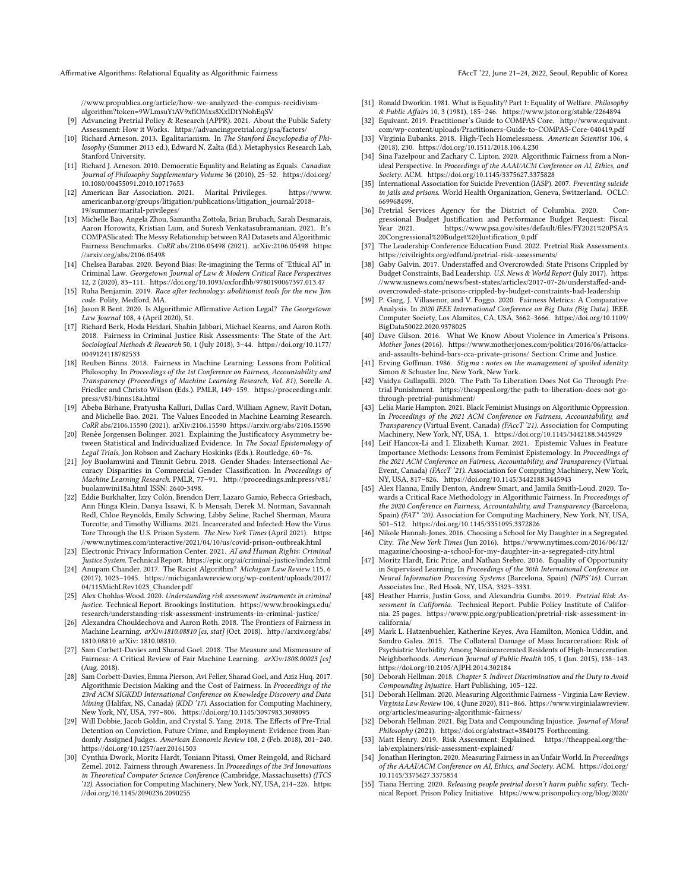Affirmative Algorithms: Relational Equality as Algorithmic Fairness FACCT '22, June 21-24, 2022, Seoul, Republic of Korea

[//www.propublica.org/article/how-we-analyzed-the-compas-recidivism](https://www.propublica.org/article/how-we-analyzed-the-compas-recidivism-algorithm?token=9WLmsuYtAV9xfiOMxs8XxIDtYNohEqSV)[algorithm?token=9WLmsuYtAV9xfiOMxs8XxIDtYNohEqSV](https://www.propublica.org/article/how-we-analyzed-the-compas-recidivism-algorithm?token=9WLmsuYtAV9xfiOMxs8XxIDtYNohEqSV)

- <span id="page-10-16"></span>[9] Advancing Pretrial Policy & Research (APPR). 2021. About the Public Safety Assessment: How it Works.<https://advancingpretrial.org/psa/factors/>
- <span id="page-10-37"></span>[10] Richard Arneson. 2013. Egalitarianism. In The Stanford Encyclopedia of Philosophy (Summer 2013 ed.), Edward N. Zalta (Ed.). Metaphysics Research Lab, Stanford University.
- <span id="page-10-36"></span>[11] Richard J. Arneson. 2010. Democratic Equality and Relating as Equals. *Canadian* Journal of Philosophy Supplementary Volume 36 (2010), 25–52. [https://doi.org/](https://doi.org/10.1080/00455091.2010.10717653) [10.1080/00455091.2010.10717653](https://doi.org/10.1080/00455091.2010.10717653)
- <span id="page-10-34"></span>[12] American Bar Association. 2021. Marital Privileges. [https://www.](https://www.americanbar.org/groups/litigation/publications/litigation_journal/2018-19/summer/marital-privileges/) [americanbar.org/groups/litigation/publications/litigation\\_journal/2018-](https://www.americanbar.org/groups/litigation/publications/litigation_journal/2018-19/summer/marital-privileges/) [19/summer/marital-privileges/](https://www.americanbar.org/groups/litigation/publications/litigation_journal/2018-19/summer/marital-privileges/)
- <span id="page-10-24"></span>[13] Michelle Bao, Angela Zhou, Samantha Zottola, Brian Brubach, Sarah Desmarais, Aaron Horowitz, Kristian Lum, and Suresh Venkatasubramanian. 2021. It's COMPASlicated: The Messy Relationship between RAI Datasets and Algorithmic Fairness Benchmarks. CoRR abs/2106.05498 (2021). arXiv[:2106.05498 https:](https://arxiv.org/abs/2106.05498) [//arxiv.org/abs/2106.05498](https://arxiv.org/abs/2106.05498)
- <span id="page-10-9"></span>[14] Chelsea Barabas. 2020. Beyond Bias: Re-imagining the Terms of "Ethical AI" in Criminal Law. Georgetown Journal of Law & Modern Critical Race Perspectives 12, 2 (2020), 83–111.<https://doi.org/10.1093/oxfordhb/9780190067397.013.47>
- <span id="page-10-28"></span>[15] Ruha Benjamin. 2019. Race after technology: abolitionist tools for the new Jim code. Polity, Medford, MA.
- <span id="page-10-39"></span>[16] Jason R Bent. 2020. Is Algorithmic Affirmative Action Legal? The Georgetown Law Journal 108, 4 (April 2020), 51.
- <span id="page-10-1"></span>[17] Richard Berk, Hoda Heidari, Shahin Jabbari, Michael Kearns, and Aaron Roth. 2018. Fairness in Criminal Justice Risk Assessments: The State of the Art. Sociological Methods & Research 50, 1 (July 2018), 3–44. [https://doi.org/10.1177/](https://doi.org/10.1177/0049124118782533) [0049124118782533](https://doi.org/10.1177/0049124118782533)
- <span id="page-10-7"></span>[18] Reuben Binns. 2018. Fairness in Machine Learning: Lessons from Political Philosophy. In Proceedings of the 1st Conference on Fairness, Accountability and Transparency (Proceedings of Machine Learning Research, Vol. 81), Sorelle A. Friedler and Christo Wilson (Eds.). PMLR, 149–159. [https://proceedings.mlr.](https://proceedings.mlr.press/v81/binns18a.html) [press/v81/binns18a.html](https://proceedings.mlr.press/v81/binns18a.html)
- <span id="page-10-23"></span>[19] Abeba Birhane, Pratyusha Kalluri, Dallas Card, William Agnew, Ravit Dotan, and Michelle Bao. 2021. The Values Encoded in Machine Learning Research. CoRR abs/2106.15590 (2021). arXiv[:2106.15590 https://arxiv.org/abs/2106.15590](https://arxiv.org/abs/2106.15590)
- <span id="page-10-30"></span>[20] Renèe Jorgensen Bolinger. 2021. Explaining the Justificatory Asymmetry between Statistical and Individualized Evidence. In The Social Epistemology of Legal Trials, Jon Robson and Zachary Hoskinks (Eds.). Routledge, 60–76.
- <span id="page-10-29"></span>[21] Joy Buolamwini and Timnit Gebru. 2018. Gender Shades: Intersectional Accuracy Disparities in Commercial Gender Classification. In Proceedings of Machine Learning Research. PMLR, 77–91. [http://proceedings.mlr.press/v81/](http://proceedings.mlr.press/v81/buolamwini18a.html) [buolamwini18a.html](http://proceedings.mlr.press/v81/buolamwini18a.html) ISSN: 2640-3498.
- <span id="page-10-43"></span>[22] Eddie Burkhalter, Izzy Colón, Brendon Derr, Lazaro Gamio, Rebecca Griesbach, Ann Hinga Klein, Danya Issawi, K. b Mensah, Derek M. Norman, Savannah Redl, Chloe Reynolds, Emily Schwing, Libby Seline, Rachel Sherman, Maura Turcotte, and Timothy Williams. 2021. Incarcerated and Infected: How the Virus Tore Through the U.S. Prison System. The New York Times (April 2021). [https:](https://www.nytimes.com/interactive/2021/04/10/us/covid-prison-outbreak.html) [//www.nytimes.com/interactive/2021/04/10/us/covid-prison-outbreak.html](https://www.nytimes.com/interactive/2021/04/10/us/covid-prison-outbreak.html)
- <span id="page-10-17"></span>[23] Electronic Privacy Information Center. 2021. AI and Human Rights: Criminal Justice System. Technical Report.<https://epic.org/ai/criminal-justice/index.html>
- <span id="page-10-40"></span>[24] Anupam Chander. 2017. The Racist Algorithm? Michigan Law Review 115, 6 (2017), 1023–1045. [https://michiganlawreview.org/wp-content/uploads/2017/](https://michiganlawreview.org/wp-content/uploads/2017/04/115MichLRev1023_Chander.pdf) [04/115MichLRev1023\\_Chander.pdf](https://michiganlawreview.org/wp-content/uploads/2017/04/115MichLRev1023_Chander.pdf)
- <span id="page-10-14"></span>[25] Alex Chohlas-Wood. 2020. Understanding risk assessment instruments in criminal justice. Technical Report. Brookings Institution. [https://www.brookings.edu/](https://www.brookings.edu/research/understanding-risk-assessment-instruments-in-criminal-justice/) [research/understanding-risk-assessment-instruments-in-criminal-justice/](https://www.brookings.edu/research/understanding-risk-assessment-instruments-in-criminal-justice/)
- <span id="page-10-2"></span>[26] Alexandra Chouldechova and Aaron Roth. 2018. The Frontiers of Fairness in Machine Learning. arXiv:1810.08810 [cs, stat] (Oct. 2018). [http://arxiv.org/abs/](http://arxiv.org/abs/1810.08810) [1810.08810](http://arxiv.org/abs/1810.08810) arXiv: 1810.08810.
- <span id="page-10-4"></span>[27] Sam Corbett-Davies and Sharad Goel. 2018. The Measure and Mismeasure of Fairness: A Critical Review of Fair Machine Learning. arXiv:1808.00023 [cs] (Aug. 2018).
- <span id="page-10-12"></span>[28] Sam Corbett-Davies, Emma Pierson, Avi Feller, Sharad Goel, and Aziz Huq. 2017. Algorithmic Decision Making and the Cost of Fairness. In Proceedings of the 23rd ACM SIGKDD International Conference on Knowledge Discovery and Data Mining (Halifax, NS, Canada) (KDD '17). Association for Computing Machinery, New York, NY, USA, 797–806.<https://doi.org/10.1145/3097983.3098095>
- <span id="page-10-25"></span>[29] Will Dobbie, Jacob Goldin, and Crystal S. Yang. 2018. The Effects of Pre-Trial Detention on Conviction, Future Crime, and Employment: Evidence from Randomly Assigned Judges. American Economic Review 108, 2 (Feb. 2018), 201–240. <https://doi.org/10.1257/aer.20161503>
- <span id="page-10-20"></span>[30] Cynthia Dwork, Moritz Hardt, Toniann Pitassi, Omer Reingold, and Richard Zemel. 2012. Fairness through Awareness. In Proceedings of the 3rd Innovations in Theoretical Computer Science Conference (Cambridge, Massachusetts) (ITCS '12). Association for Computing Machinery, New York, NY, USA, 214–226. [https:](https://doi.org/10.1145/2090236.2090255) [//doi.org/10.1145/2090236.2090255](https://doi.org/10.1145/2090236.2090255)
- <span id="page-10-35"></span>[31] Ronald Dworkin. 1981. What is Equality? Part 1: Equality of Welfare. Philosophy & Public Affairs 10, 3 (1981), 185–246.<https://www.jstor.org/stable/2264894>
- <span id="page-10-15"></span>[32] Equivant. 2019. Practitioner's Guide to COMPAS Core. [http://www.equivant.](http://www.equivant.com/wp-content/uploads/Practitioners-Guide-to-COMPAS-Core-040419.pdf) [com/wp-content/uploads/Practitioners-Guide-to-COMPAS-Core-040419.pdf](http://www.equivant.com/wp-content/uploads/Practitioners-Guide-to-COMPAS-Core-040419.pdf)
- <span id="page-10-38"></span>[33] Virginia Eubanks. 2018. High-Tech Homelessness. American Scientist 106, 4 (2018), 230.<https://doi.org/10.1511/2018.106.4.230>
- <span id="page-10-10"></span>[34] Sina Fazelpour and Zachary C. Lipton. 2020. Algorithmic Fairness from a Nonideal Perspective. In Proceedings of the AAAI/ACM Conference on AI, Ethics, and Society. ACM.<https://doi.org/10.1145/3375627.3375828>
- <span id="page-10-44"></span>[35] International Association for Suicide Prevention (IASP). 2007. Preventing suicide in jails and prisons. World Health Organization, Geneva, Switzerland. OCLC: 669968499.
- <span id="page-10-46"></span>[36] Pretrial Services Agency for the District of Columbia. 2020. Congressional Budget Justification and Performance Budget Request: Fiscal<br>Year 2021. https://www.psa.gov/sites/default/files/FY2021%20PSA% https://www.psa.gov/sites/default/files/FY2021%20PSA% [20Congressional%20Budget%20Justification\\_0.pdf](https://www.psa.gov/sites/default/files/FY2021%20PSA%20Congressional%20Budget%20Justification_0.pdf)
- <span id="page-10-0"></span>[37] The Leadership Conference Education Fund. 2022. Pretrial Risk Assessments. <https://civilrights.org/edfund/pretrial-risk-assessments/>
- <span id="page-10-42"></span>[38] Gaby Galvin. 2017. Understaffed and Overcrowded: State Prisons Crippled by Budget Constraints, Bad Leadership. U.S. News & World Report (July 2017). [https:](https://www.usnews.com/news/best-states/articles/2017-07-26/understaffed-and-overcrowded-state-prisons-crippled-by-budget-constraints-bad-leadership) [//www.usnews.com/news/best-states/articles/2017-07-26/understaffed-and](https://www.usnews.com/news/best-states/articles/2017-07-26/understaffed-and-overcrowded-state-prisons-crippled-by-budget-constraints-bad-leadership)[overcrowded-state-prisons-crippled-by-budget-constraints-bad-leadership](https://www.usnews.com/news/best-states/articles/2017-07-26/understaffed-and-overcrowded-state-prisons-crippled-by-budget-constraints-bad-leadership)
- <span id="page-10-3"></span>[39] P. Garg, J. Villasenor, and V. Foggo. 2020. Fairness Metrics: A Comparative Analysis. In 2020 IEEE International Conference on Big Data (Big Data). IEEE Computer Society, Los Alamitos, CA, USA, 3662–3666. [https://doi.org/10.1109/](https://doi.org/10.1109/BigData50022.2020.9378025) [BigData50022.2020.9378025](https://doi.org/10.1109/BigData50022.2020.9378025)
- <span id="page-10-41"></span>[40] Dave Gilson. 2016. What We Know About Violence in America's Prisons. Mother Jones (2016). https://www.motheriones.com/politics/2016/06/attacks[and-assaults-behind-bars-cca-private-prisons/](https://www.motherjones.com/politics/2016/06/attacks-and-assaults-behind-bars-cca-private-prisons/) Section: Crime and Justice.
- <span id="page-10-27"></span>[41] Erving Goffman. 1986. Stigma: notes on the management of spoiled identity. Simon & Schuster Inc, New York, New York.
- <span id="page-10-13"></span>[42] Vaidya Gullapalli. 2020. The Path To Liberation Does Not Go Through Pretrial Punishment. [https://theappeal.org/the-path-to-liberation-does-not-go](https://theappeal.org/the-path-to-liberation-does-not-go-through-pretrial-punishment/)[through-pretrial-punishment/](https://theappeal.org/the-path-to-liberation-does-not-go-through-pretrial-punishment/)
- <span id="page-10-8"></span>[43] Lelia Marie Hampton. 2021. Black Feminist Musings on Algorithmic Oppression. In Proceedings of the 2021 ACM Conference on Fairness, Accountability, and Transparency (Virtual Event, Canada) (FAccT '21). Association for Computing Machinery, New York, NY, USA, 1.<https://doi.org/10.1145/3442188.3445929>
- <span id="page-10-11"></span>[44] Leif Hancox-Li and I. Elizabeth Kumar. 2021. Epistemic Values in Feature Importance Methods: Lessons from Feminist Epistemology. In Proceedings of the 2021 ACM Conference on Fairness, Accountability, and Transparency (Virtual Event, Canada) (FAccT '21). Association for Computing Machinery, New York, NY, USA, 817–826.<https://doi.org/10.1145/3442188.3445943>
- <span id="page-10-6"></span>[45] Alex Hanna, Emily Denton, Andrew Smart, and Jamila Smith-Loud. 2020. Towards a Critical Race Methodology in Algorithmic Fairness. In Proceedings of the 2020 Conference on Fairness, Accountability, and Transparency (Barcelona, Spain) (FAT\* '20). Association for Computing Machinery, New York, NY, USA, 501–512.<https://doi.org/10.1145/3351095.3372826>
- <span id="page-10-26"></span>[46] Nikole Hannah-Jones. 2016. Choosing a School for My Daughter in a Segregated City. The New York Times (Jun 2016). [https://www.nytimes.com/2016/06/12/](https://www.nytimes.com/2016/06/12/magazine/choosing-a-school-for-my-daughter-in-a-segregated-city.html) [magazine/choosing-a-school-for-my-daughter-in-a-segregated-city.html](https://www.nytimes.com/2016/06/12/magazine/choosing-a-school-for-my-daughter-in-a-segregated-city.html)
- <span id="page-10-5"></span>[47] Moritz Hardt, Eric Price, and Nathan Srebro. 2016. Equality of Opportunity in Supervised Learning. In Proceedings of the 30th International Conference on Neural Information Processing Systems (Barcelona, Spain) (NIPS'16). Curran Associates Inc., Red Hook, NY, USA, 3323–3331.
- <span id="page-10-18"></span>[48] Heather Harris, Justin Goss, and Alexandria Gumbs. 2019. Pretrial Risk Assessment in California. Technical Report. Public Policy Institute of California. 25 pages. [https://www.ppic.org/publication/pretrial-risk-assessment-in](https://www.ppic.org/publication/pretrial-risk-assessment-in-california/)[california/](https://www.ppic.org/publication/pretrial-risk-assessment-in-california/)
- <span id="page-10-45"></span>[49] Mark L. Hatzenbuehler, Katherine Keyes, Ava Hamilton, Monica Uddin, and Sandro Galea. 2015. The Collateral Damage of Mass Incarceration: Risk of Psychiatric Morbidity Among Nonincarcerated Residents of High-Incarceration Neighborhoods. American Journal of Public Health 105, 1 (Jan. 2015), 138-143. <https://doi.org/10.2105/AJPH.2014.302184>
- <span id="page-10-31"></span>[50] Deborah Hellman. 2018. Chapter 5. Indirect Discrimination and the Duty to Avoid Compounding Injustice. Hart Publishing, 105–122.
- <span id="page-10-22"></span>[51] Deborah Hellman. 2020. Measuring Algorithmic Fairness - Virginia Law Review. Virginia Law Review 106, 4 (June 2020), 811–866. [https://www.virginialawreview.](https://www.virginialawreview.org/articles/measuring-algorithmic-fairness/) [org/articles/measuring-algorithmic-fairness/](https://www.virginialawreview.org/articles/measuring-algorithmic-fairness/)
- <span id="page-10-32"></span>[52] Deborah Hellman. 2021. Big Data and Compounding Injustice. Journal of Moral Philosophy (2021).<https://doi.org/abstract=3840175> Forthcoming.
- <span id="page-10-19"></span>[53] Matt Henry. 2019. Risk Assessment: Explained. [https://theappeal.org/the](https://theappeal.org/the-lab/explainers/risk-assessment-explained/)[lab/explainers/risk-assessment-explained/](https://theappeal.org/the-lab/explainers/risk-assessment-explained/)
- <span id="page-10-33"></span>[54] Jonathan Herington. 2020. Measuring Fairness in an Unfair World. In Proceedings of the AAAI/ACM Conference on AI, Ethics, and Society. ACM. [https://doi.org/](https://doi.org/10.1145/3375627.3375854) [10.1145/3375627.3375854](https://doi.org/10.1145/3375627.3375854)
- <span id="page-10-21"></span>[55] Tiana Herring. 2020. Releasing people pretrial doesn't harm public safety. Technical Report. Prison Policy Initiative. [https://www.prisonpolicy.org/blog/2020/](https://www.prisonpolicy.org/blog/2020/11/17/pretrial-releases/)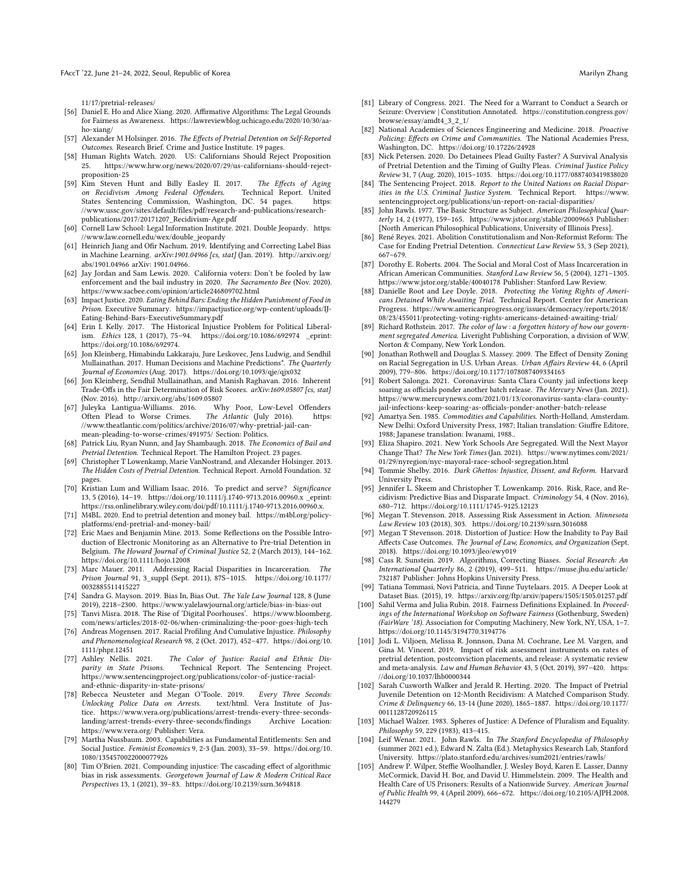FAccT '22, June 21-24, 2022, Seoul, Republic of Korea Marilyn Zhang Narilyn Zhang Marilyn Zhang Marilyn Zhang

[11/17/pretrial-releases/](https://www.prisonpolicy.org/blog/2020/11/17/pretrial-releases/)

- <span id="page-11-9"></span>[56] Daniel E. Ho and Alice Xiang. 2020. Affirmative Algorithms: The Legal Grounds for Fairness as Awareness. [https://lawreviewblog.uchicago.edu/2020/10/30/aa](https://lawreviewblog.uchicago.edu/2020/10/30/aa-ho-xiang/)[ho-xiang/](https://lawreviewblog.uchicago.edu/2020/10/30/aa-ho-xiang/)
- <span id="page-11-40"></span>[57] Alexander M Holsinger. 2016. The Effects of Pretrial Detention on Self-Reported Outcomes. Research Brief. Crime and Justice Institute. 19 pages.
- <span id="page-11-0"></span>[58] Human Rights Watch. 2020. US: Californians Should Reject Proposition 25. [https://www.hrw.org/news/2020/07/29/us-californians-should-reject](https://www.hrw.org/news/2020/07/29/us-californians-should-reject-proposition-25)[proposition-25](https://www.hrw.org/news/2020/07/29/us-californians-should-reject-proposition-25)
- <span id="page-11-12"></span>[59] Kim Steven Hunt and Billy Easley II. 2017. The Effects of Aging on Recidivism Among Federal Offenders. Technical Report. United on Recidivism Among Federal Offenders. Technical Report. United States Sentencing Commission. Washington, DC, 54 pages. https: States Sentencing Commission, Washington, DC. 54 pages. [//www.ussc.gov/sites/default/files/pdf/research-and-publications/research](https://www.ussc.gov/sites/default/files/pdf/research-and-publications/research-publications/2017/20171207_Recidivism-Age.pdf)[publications/2017/20171207\\_Recidivism-Age.pdf](https://www.ussc.gov/sites/default/files/pdf/research-and-publications/research-publications/2017/20171207_Recidivism-Age.pdf)
- <span id="page-11-29"></span>[60] Cornell Law School: Legal Information Institute. 2021. Double Jeopardy. [https:](https://www.law.cornell.edu/wex/double_jeopardy) [//www.law.cornell.edu/wex/double\\_jeopardy](https://www.law.cornell.edu/wex/double_jeopardy)
- <span id="page-11-48"></span>[61] Heinrich Jiang and Ofir Nachum. 2019. Identifying and Correcting Label Bias in Machine Learning. arXiv:1901.04966 [cs, stat] (Jan. 2019). [http://arxiv.org/](http://arxiv.org/abs/1901.04966) [abs/1901.04966](http://arxiv.org/abs/1901.04966) arXiv: 1901.04966.
- <span id="page-11-7"></span>[62] Jay Jordan and Sam Lewis. 2020. California voters: Don't be fooled by law enforcement and the bail industry in 2020. The Sacramento Bee (Nov. 2020). <https://www.sacbee.com/opinion/article246809702.html>
- <span id="page-11-37"></span>[63] Impact Justice. 2020. Eating Behind Bars: Ending the Hidden Punishment of Food in Prison. Executive Summary. [https://impactjustice.org/wp-content/uploads/IJ-](https://impactjustice.org/wp-content/uploads/IJ-Eating-Behind-Bars-ExecutiveSummary.pdf)[Eating-Behind-Bars-ExecutiveSummary.pdf](https://impactjustice.org/wp-content/uploads/IJ-Eating-Behind-Bars-ExecutiveSummary.pdf)
- <span id="page-11-23"></span>[64] Erin I. Kelly. 2017. The Historical Injustice Problem for Political Liberalism. Ethics 128, 1 (2017), 75–94.<https://doi.org/10.1086/692974> \_eprint: https://doi.org/10.1086/692974.
- <span id="page-11-4"></span>[65] Jon Kleinberg, Himabindu Lakkaraju, Jure Leskovec, Jens Ludwig, and Sendhil Mullainathan. 2017. Human Decisions and Machine Predictions\*. The Quarterly Journal of Economics (Aug. 2017).<https://doi.org/10.1093/qje/qjx032>
- <span id="page-11-10"></span>[66] Jon Kleinberg, Sendhil Mullainathan, and Manish Raghavan. 2016. Inherent Trade-Offs in the Fair Determination of Risk Scores. arXiv:1609.05807 [cs, stat] (Nov. 2016).<http://arxiv.org/abs/1609.05807><br>Julevka Lantigua-Williams. 2016. Why Poor. Low-Level Offenders
- <span id="page-11-42"></span>[67] Juleyka Lantigua-Williams. 2016. Why Poor, Low-Level<br>Often Plead to Worse Crimes. The Atlantic (July 2016). Often Plead to Worse Crimes. The Atlantic (July 2016). [https:](https://www.theatlantic.com/politics/archive/2016/07/why-pretrial-jail-can-mean-pleading-to-worse-crimes/491975/) [//www.theatlantic.com/politics/archive/2016/07/why-pretrial-jail-can](https://www.theatlantic.com/politics/archive/2016/07/why-pretrial-jail-can-mean-pleading-to-worse-crimes/491975/)[mean-pleading-to-worse-crimes/491975/](https://www.theatlantic.com/politics/archive/2016/07/why-pretrial-jail-can-mean-pleading-to-worse-crimes/491975/) Section: Politics.
- <span id="page-11-34"></span>[68] Patrick Liu, Ryan Nunn, and Jay Shambaugh. 2018. The Economics of Bail and Pretrial Detention. Technical Report. The Hamilton Project. 23 pages.
- <span id="page-11-16"></span>[69] Christopher T Lowenkamp, Marie VanNostrand, and Alexander Holsinger. 2013. The Hidden Costs of Pretrial Detention. Technical Report. Arnold Foundation. 32 pages.
- <span id="page-11-13"></span>[70] Kristian Lum and William Isaac. 2016. To predict and serve? Significance 13, 5 (2016), 14–19.<https://doi.org/10.1111/j.1740-9713.2016.00960.x> \_eprint: https://rss.onlinelibrary.wiley.com/doi/pdf/10.1111/j.1740-9713.2016.00960.x.
- <span id="page-11-2"></span>[71] M4BL. 2020. End to pretrial detention and money bail. [https://m4bl.org/policy](https://m4bl.org/policy-platforms/end-pretrial-and-money-bail/)[platforms/end-pretrial-and-money-bail/](https://m4bl.org/policy-platforms/end-pretrial-and-money-bail/)
- <span id="page-11-46"></span>[72] Eric Maes and Benjamin Mine. 2013. Some Reflections on the Possible Introduction of Electronic Monitoring as an Alternative to Pre-trial Detention in Belgium. The Howard Journal of Criminal Justice 52, 2 (March 2013), 144–162. <https://doi.org/10.1111/hojo.12008>
- <span id="page-11-24"></span>[73] Marc Mauer. 2011. Addressing Racial Disparities in Incarceration. The Prison Journal 91, 3\_suppl (Sept. 2011), 87S–101S. [https://doi.org/10.1177/](https://doi.org/10.1177/0032885511415227) [0032885511415227](https://doi.org/10.1177/0032885511415227)
- <span id="page-11-11"></span>[74] Sandra G. Mayson. 2019. Bias In, Bias Out. The Yale Law Journal 128, 8 (June 2019), 2218–2300.<https://www.yalelawjournal.org/article/bias-in-bias-out>
- <span id="page-11-33"></span>[75] Tanvi Misra. 2018. The Rise of 'Digital Poorhouses'. [https://www.bloomberg.](https://www.bloomberg.com/news/articles/2018-02-06/when-criminalizing-the-poor-goes-high-tech) [com/news/articles/2018-02-06/when-criminalizing-the-poor-goes-high-tech](https://www.bloomberg.com/news/articles/2018-02-06/when-criminalizing-the-poor-goes-high-tech)
- <span id="page-11-26"></span>[76] Andreas Mogensen. 2017. Racial Profiling And Cumulative Injustice. Philosophy and Phenomenological Research 98, 2 (Oct. 2017), 452–477. [https://doi.org/10.](https://doi.org/10.1111/phpr.12451) [1111/phpr.12451](https://doi.org/10.1111/phpr.12451)<br>[77] Ashley Nellis. 2021.
- <span id="page-11-47"></span>[77] Ashley Nellis. 2021. The Color of Justice: Racial and Ethnic Dis-parity in State Prisons. Technical Report. The Sentencing Project. [https://www.sentencingproject.org/publications/color-of-justice-racial](https://www.sentencingproject.org/publications/color-of-justice-racial-and-ethnic-disparity-in-state-prisons/)[and-ethnic-disparity-in-state-prisons/](https://www.sentencingproject.org/publications/color-of-justice-racial-and-ethnic-disparity-in-state-prisons/)
- <span id="page-11-14"></span>[78] Rebecca Neusteter and Megan O'Toole. 2019. Every Three Seconds: Unlocking Police Data on Arrests. tice. [https://www.vera.org/publications/arrest-trends-every-three-seconds](https://www.vera.org/publications/arrest-trends-every-three-seconds-landing/arrest-trends-every-three-seconds/findings)[landing/arrest-trends-every-three-seconds/findings](https://www.vera.org/publications/arrest-trends-every-three-seconds-landing/arrest-trends-every-three-seconds/findings) https://www.vera.org/ Publisher: Vera.
- <span id="page-11-31"></span>[79] Martha Nussbaum. 2003. Capabilities as Fundamental Entitlements: Sen and Social Justice. Feminist Economics 9, 2-3 (Jan. 2003), 33–59. [https://doi.org/10.](https://doi.org/10.1080/1354570022000077926) [1080/1354570022000077926](https://doi.org/10.1080/1354570022000077926)
- <span id="page-11-27"></span>[80] Tim O'Brien. 2021. Compounding injustice: The cascading effect of algorithmic bias in risk assessments. Georgetown Journal of Law & Modern Critical Race Perspectives 13, 1 (2021), 39–83.<https://doi.org/10.2139/ssrn.3694818>
- <span id="page-11-28"></span>[81] Library of Congress. 2021. The Need for a Warrant to Conduct a Search or Seizure: Overview | Constitution Annotated. [https://constitution.congress.gov/](https://constitution.congress.gov/browse/essay/amdt4_3_2_1/) [browse/essay/amdt4\\_3\\_2\\_1/](https://constitution.congress.gov/browse/essay/amdt4_3_2_1/)
- <span id="page-11-15"></span>[82] National Academies of Sciences Engineering and Medicine. 2018. Proactive Policing: Effects on Crime and Communities. The National Academies Press, Washington, DC.<https://doi.org/10.17226/24928>
- <span id="page-11-41"></span>[83] Nick Petersen. 2020. Do Detainees Plead Guilty Faster? A Survival Analysis of Pretrial Detention and the Timing of Guilty Pleas. Criminal Justice Policy Review 31, 7 (Aug. 2020), 1015–1035.<https://doi.org/10.1177/0887403419838020>
- <span id="page-11-35"></span>[84] The Sentencing Project. 2018. Report to the United Nations on Racial Disparities in the U.S. Criminal Justice System. Technical Report. [https://www.](https://www.sentencingproject.org/publications/un-report-on-racial-disparities/) [sentencingproject.org/publications/un-report-on-racial-disparities/](https://www.sentencingproject.org/publications/un-report-on-racial-disparities/)
- <span id="page-11-17"></span>[85] John Rawls. 1977. The Basic Structure as Subject. American Philosophical Quarterly 14, 2 (1977), 159–165.<https://www.jstor.org/stable/20009663> Publisher: [North American Philosophical Publications, University of Illinois Press].
- <span id="page-11-3"></span>[86] René Reyes. 2021. Abolition Constitutionalism and Non-Reformist Reform: The Case for Ending Pretrial Detention. Connecticut Law Review 53, 3 (Sep 2021), 667–679.
- <span id="page-11-25"></span>[87] Dorothy E. Roberts. 2004. The Social and Moral Cost of Mass Incarceration in African American Communities. Stanford Law Review 56, 5 (2004), 1271–1305. <https://www.jstor.org/stable/40040178> Publisher: Stanford Law Review.
- <span id="page-11-44"></span>[88] Danielle Root and Lee Doyle. 2018. Protecting the Voting Rights of Americans Detained While Awaiting Trial. Technical Report. Center for American Progress. [https://www.americanprogress.org/issues/democracy/reports/2018/](https://www.americanprogress.org/issues/democracy/reports/2018/08/23/455011/protecting-voting-rights-americans-detained-awaiting-trial/) [08/23/455011/protecting-voting-rights-americans-detained-awaiting-trial/](https://www.americanprogress.org/issues/democracy/reports/2018/08/23/455011/protecting-voting-rights-americans-detained-awaiting-trial/)
- <span id="page-11-20"></span>[89] Richard Rothstein. 2017. The color of law : a forgotten history of how our government segregated America. Liveright Publishing Corporation, a division of W.W. Norton & Company, New York London.
- <span id="page-11-21"></span>[90] Jonathan Rothwell and Douglas S. Massey. 2009. The Effect of Density Zoning on Racial Segregation in U.S. Urban Areas. Urban Affairs Review 44, 6 (April 2009), 779–806.<https://doi.org/10.1177/1078087409334163>
- <span id="page-11-38"></span>[91] Robert Salonga. 2021. Coronavirus: Santa Clara County jail infections keep soaring as officials ponder another batch release. The Mercury News (Jan. 2021). [https://www.mercurynews.com/2021/01/13/coronavirus-santa-clara-county](https://www.mercurynews.com/2021/01/13/coronavirus-santa-clara-county-jail-infections-keep-soaring-as-officials-ponder-another-batch-release)[jail-infections-keep-soaring-as-officials-ponder-another-batch-release](https://www.mercurynews.com/2021/01/13/coronavirus-santa-clara-county-jail-infections-keep-soaring-as-officials-ponder-another-batch-release)
- <span id="page-11-32"></span>[92] Amartya Sen. 1985. Commodities and Capabilities. North-Holland, Amsterdam. New Delhi: Oxford University Press, 1987; Italian translation: Giuffre Editore, 1988; Japanese translation: Iwanami, 1988..
- <span id="page-11-22"></span>[93] Eliza Shapiro. 2021. New York Schools Are Segregated. Will the Next Mayor Change That? The New York Times (Jan. 2021). [https://www.nytimes.com/2021/](https://www.nytimes.com/2021/01/29/nyregion/nyc-mayoral-race-school-segregation.html) [01/29/nyregion/nyc-mayoral-race-school-segregation.html](https://www.nytimes.com/2021/01/29/nyregion/nyc-mayoral-race-school-segregation.html)
- <span id="page-11-19"></span>[94] Tommie Shelby. 2016. Dark Ghettos: Injustice, Dissent, and Reform. Harvard University Press.
- <span id="page-11-6"></span>[95] Jennifer L. Skeem and Christopher T. Lowenkamp. 2016. Risk, Race, and Recidivism: Predictive Bias and Disparate Impact. Criminology 54, 4 (Nov. 2016), 680–712.<https://doi.org/10.1111/1745-9125.12123>
- <span id="page-11-36"></span>[96] Megan T. Stevenson. 2018. Assessing Risk Assessment in Action. Minnesota Law Review 103 (2018), 303.<https://doi.org/10.2139/ssrn.3016088>
- <span id="page-11-43"></span>[97] Megan T Stevenson. 2018. Distortion of Justice: How the Inability to Pay Bail Affects Case Outcomes. The Journal of Law, Economics, and Organization (Sept. 2018).<https://doi.org/10.1093/jleo/ewy019>
- <span id="page-11-5"></span>[98] Cass R. Sunstein. 2019. Algorithms, Correcting Biases. Social Research: An International Quarterly 86, 2 (2019), 499–511. [https://muse.jhu.edu/article/](https://muse.jhu.edu/article/732187) [732187](https://muse.jhu.edu/article/732187) Publisher: Johns Hopkins University Press.
- <span id="page-11-49"></span>[99] Tatiana Tommasi, Novi Patricia, and Tinne Tuytelaars. 2015. A Deeper Look at Dataset Bias. (2015), 19.<https://arxiv.org/ftp/arxiv/papers/1505/1505.01257.pdf>
- <span id="page-11-1"></span>[100] Sahil Verma and Julia Rubin. 2018. Fairness Definitions Explained. In Proceedings of the International Workshop on Software Fairness (Gothenburg, Sweden) (FairWare '18). Association for Computing Machinery, New York, NY, USA, 1–7. <https://doi.org/10.1145/3194770.3194776>
- <span id="page-11-8"></span>[101] Jodi L. Viljoen, Melissa R. Jonnson, Dana M. Cochrane, Lee M. Vargen, and Gina M. Vincent. 2019. Impact of risk assessment instruments on rates of pretrial detention, postconviction placements, and release: A systematic review and meta-analysis. Law and Human Behavior 43, 5 (Oct. 2019), 397–420. [https:](https://doi.org/10.1037/lhb0000344) [//doi.org/10.1037/lhb0000344](https://doi.org/10.1037/lhb0000344)
- <span id="page-11-45"></span>[102] Sarah Cusworth Walker and Jerald R. Herting. 2020. The Impact of Pretrial Juvenile Detention on 12-Month Recidivism: A Matched Comparison Study. Crime & Delinquency 66, 13-14 (June 2020), 1865–1887. [https://doi.org/10.1177/](https://doi.org/10.1177/0011128720926115) [0011128720926115](https://doi.org/10.1177/0011128720926115)
- <span id="page-11-30"></span>[103] Michael Walzer. 1983. Spheres of Justice: A Defence of Pluralism and Equality. Philosophy 59, 229 (1983), 413–415.
- <span id="page-11-18"></span>[104] Leif Wenar. 2021. John Rawls. In The Stanford Encyclopedia of Philosophy (summer 2021 ed.), Edward N. Zalta (Ed.). Metaphysics Research Lab, Stanford University.<https://plato.stanford.edu/archives/sum2021/entries/rawls/>
- <span id="page-11-39"></span>[105] Andrew P. Wilper, Steffie Woolhandler, J. Wesley Boyd, Karen E. Lasser, Danny McCormick, David H. Bor, and David U. Himmelstein. 2009. The Health and Health Care of US Prisoners: Results of a Nationwide Survey. American Journal of Public Health 99, 4 (April 2009), 666–672. [https://doi.org/10.2105/AJPH.2008.](https://doi.org/10.2105/AJPH.2008.144279) [144279](https://doi.org/10.2105/AJPH.2008.144279)